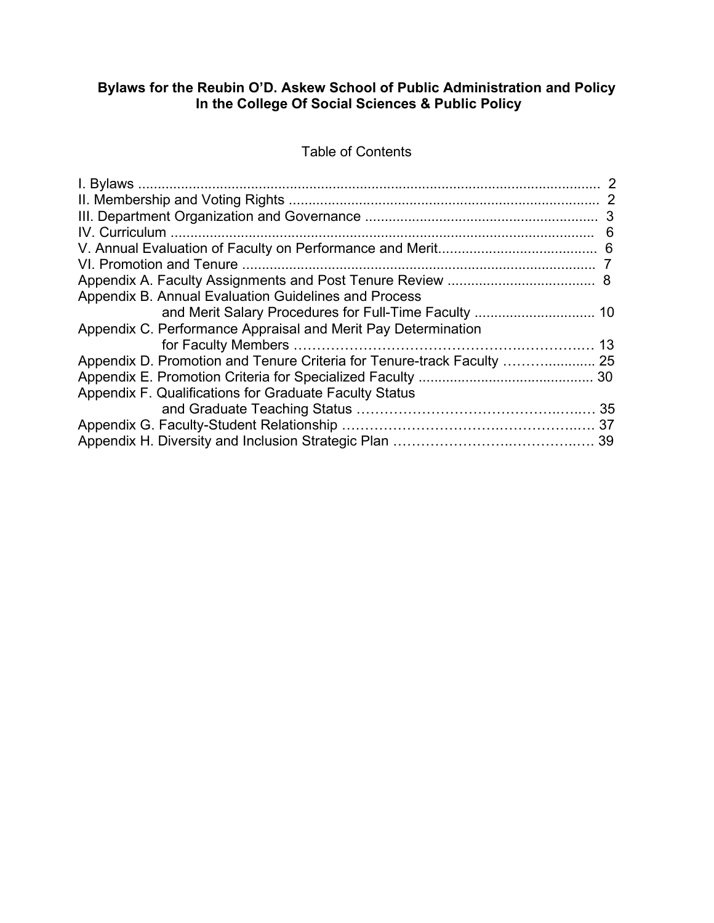### **Bylaws for the Reubin O'D. Askew School of Public Administration and Policy In the College Of Social Sciences & Public Policy**

# Table of Contents

| Appendix B. Annual Evaluation Guidelines and Process          |  |
|---------------------------------------------------------------|--|
|                                                               |  |
| Appendix C. Performance Appraisal and Merit Pay Determination |  |
|                                                               |  |
|                                                               |  |
|                                                               |  |
| Appendix F. Qualifications for Graduate Faculty Status        |  |
|                                                               |  |
|                                                               |  |
|                                                               |  |
|                                                               |  |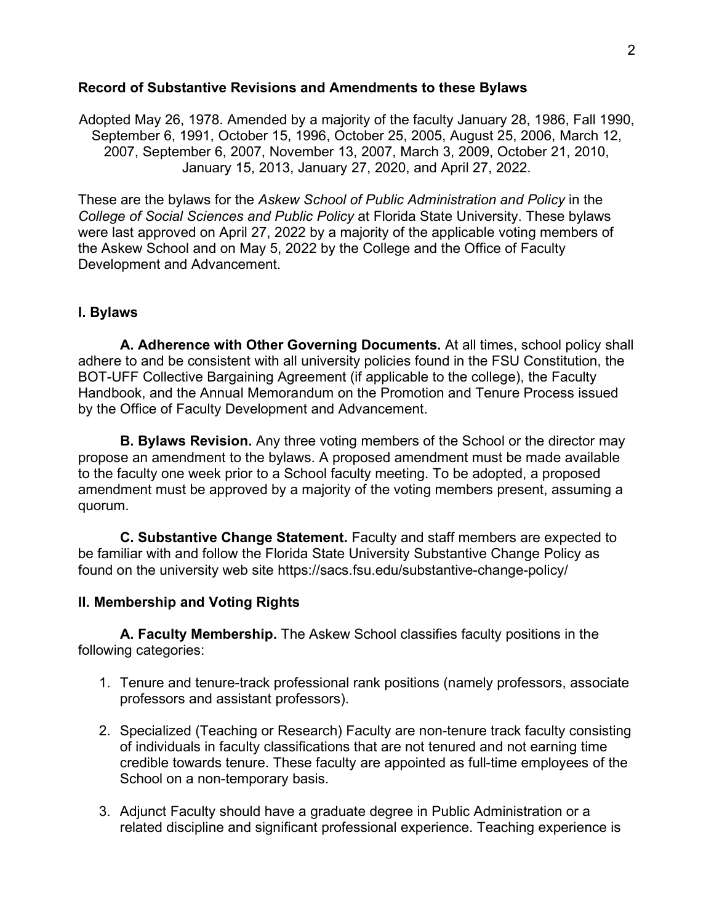#### **Record of Substantive Revisions and Amendments to these Bylaws**

Adopted May 26, 1978. Amended by a majority of the faculty January 28, 1986, Fall 1990, September 6, 1991, October 15, 1996, October 25, 2005, August 25, 2006, March 12, 2007, September 6, 2007, November 13, 2007, March 3, 2009, October 21, 2010, January 15, 2013, January 27, 2020, and April 27, 2022.

These are the bylaws for the *Askew School of Public Administration and Policy* in the *College of Social Sciences and Public Policy* at Florida State University. These bylaws were last approved on April 27, 2022 by a majority of the applicable voting members of the Askew School and on May 5, 2022 by the College and the Office of Faculty Development and Advancement.

## **I. Bylaws**

**A. Adherence with Other Governing Documents.** At all times, school policy shall adhere to and be consistent with all university policies found in the FSU Constitution, the BOT-UFF Collective Bargaining Agreement (if applicable to the college), the Faculty Handbook, and the Annual Memorandum on the Promotion and Tenure Process issued by the Office of Faculty Development and Advancement.

**B. Bylaws Revision.** Any three voting members of the School or the director may propose an amendment to the bylaws. A proposed amendment must be made available to the faculty one week prior to a School faculty meeting. To be adopted, a proposed amendment must be approved by a majority of the voting members present, assuming a quorum.

**C. Substantive Change Statement.** Faculty and staff members are expected to be familiar with and follow the Florida State University Substantive Change Policy as found on the university web site https://sacs.fsu.edu/substantive-change-policy/

#### **II. Membership and Voting Rights**

**A. Faculty Membership.** The Askew School classifies faculty positions in the following categories:

- 1. Tenure and tenure-track professional rank positions (namely professors, associate professors and assistant professors).
- 2. Specialized (Teaching or Research) Faculty are non-tenure track faculty consisting of individuals in faculty classifications that are not tenured and not earning time credible towards tenure. These faculty are appointed as full-time employees of the School on a non-temporary basis.
- 3. Adjunct Faculty should have a graduate degree in Public Administration or a related discipline and significant professional experience. Teaching experience is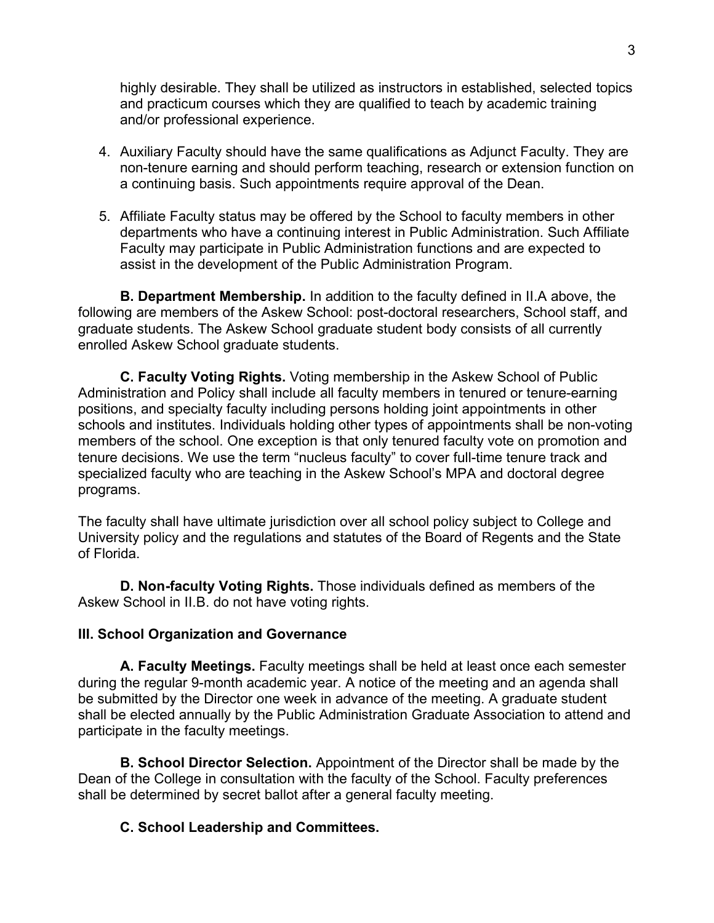highly desirable. They shall be utilized as instructors in established, selected topics and practicum courses which they are qualified to teach by academic training and/or professional experience.

- 4. Auxiliary Faculty should have the same qualifications as Adjunct Faculty. They are non-tenure earning and should perform teaching, research or extension function on a continuing basis. Such appointments require approval of the Dean.
- 5. Affiliate Faculty status may be offered by the School to faculty members in other departments who have a continuing interest in Public Administration. Such Affiliate Faculty may participate in Public Administration functions and are expected to assist in the development of the Public Administration Program.

**B. Department Membership.** In addition to the faculty defined in II.A above, the following are members of the Askew School: post-doctoral researchers, School staff, and graduate students. The Askew School graduate student body consists of all currently enrolled Askew School graduate students.

**C. Faculty Voting Rights.** Voting membership in the Askew School of Public Administration and Policy shall include all faculty members in tenured or tenure-earning positions, and specialty faculty including persons holding joint appointments in other schools and institutes. Individuals holding other types of appointments shall be non-voting members of the school. One exception is that only tenured faculty vote on promotion and tenure decisions. We use the term "nucleus faculty" to cover full-time tenure track and specialized faculty who are teaching in the Askew School's MPA and doctoral degree programs.

The faculty shall have ultimate jurisdiction over all school policy subject to College and University policy and the regulations and statutes of the Board of Regents and the State of Florida.

**D. Non-faculty Voting Rights.** Those individuals defined as members of the Askew School in II.B. do not have voting rights.

#### **III. School Organization and Governance**

**A. Faculty Meetings.** Faculty meetings shall be held at least once each semester during the regular 9-month academic year. A notice of the meeting and an agenda shall be submitted by the Director one week in advance of the meeting. A graduate student shall be elected annually by the Public Administration Graduate Association to attend and participate in the faculty meetings.

**B. School Director Selection.** Appointment of the Director shall be made by the Dean of the College in consultation with the faculty of the School. Faculty preferences shall be determined by secret ballot after a general faculty meeting.

# **C. School Leadership and Committees.**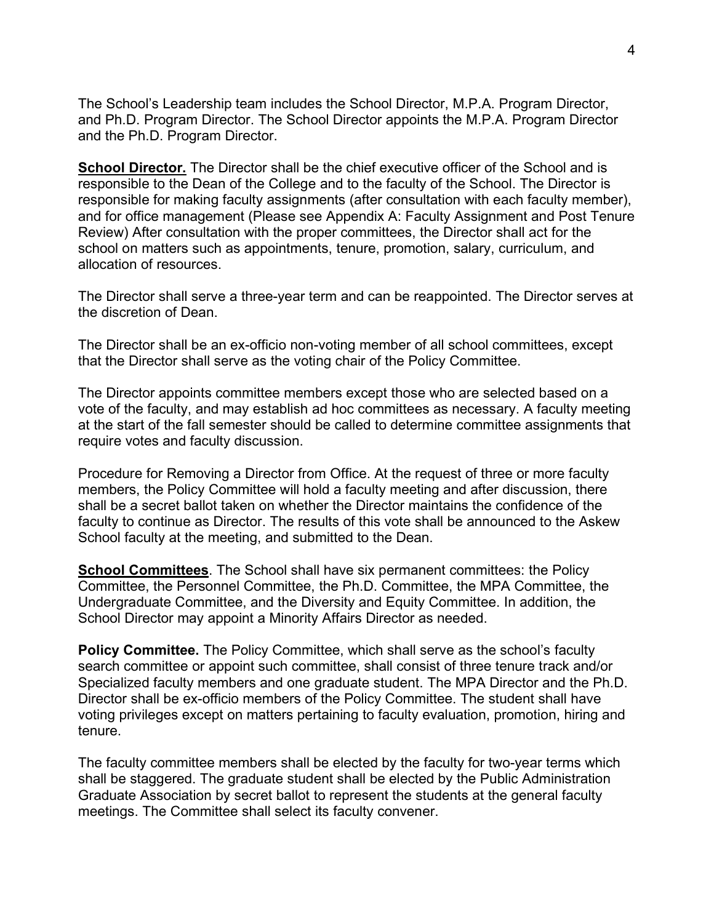The School's Leadership team includes the School Director, M.P.A. Program Director, and Ph.D. Program Director. The School Director appoints the M.P.A. Program Director and the Ph.D. Program Director.

**School Director.** The Director shall be the chief executive officer of the School and is responsible to the Dean of the College and to the faculty of the School. The Director is responsible for making faculty assignments (after consultation with each faculty member), and for office management (Please see Appendix A: Faculty Assignment and Post Tenure Review) After consultation with the proper committees, the Director shall act for the school on matters such as appointments, tenure, promotion, salary, curriculum, and allocation of resources.

The Director shall serve a three-year term and can be reappointed. The Director serves at the discretion of Dean.

The Director shall be an ex-officio non-voting member of all school committees, except that the Director shall serve as the voting chair of the Policy Committee.

The Director appoints committee members except those who are selected based on a vote of the faculty, and may establish ad hoc committees as necessary. A faculty meeting at the start of the fall semester should be called to determine committee assignments that require votes and faculty discussion.

Procedure for Removing a Director from Office. At the request of three or more faculty members, the Policy Committee will hold a faculty meeting and after discussion, there shall be a secret ballot taken on whether the Director maintains the confidence of the faculty to continue as Director. The results of this vote shall be announced to the Askew School faculty at the meeting, and submitted to the Dean.

**School Committees**. The School shall have six permanent committees: the Policy Committee, the Personnel Committee, the Ph.D. Committee, the MPA Committee, the Undergraduate Committee, and the Diversity and Equity Committee. In addition, the School Director may appoint a Minority Affairs Director as needed.

**Policy Committee.** The Policy Committee, which shall serve as the school's faculty search committee or appoint such committee, shall consist of three tenure track and/or Specialized faculty members and one graduate student. The MPA Director and the Ph.D. Director shall be ex-officio members of the Policy Committee. The student shall have voting privileges except on matters pertaining to faculty evaluation, promotion, hiring and tenure.

The faculty committee members shall be elected by the faculty for two-year terms which shall be staggered. The graduate student shall be elected by the Public Administration Graduate Association by secret ballot to represent the students at the general faculty meetings. The Committee shall select its faculty convener.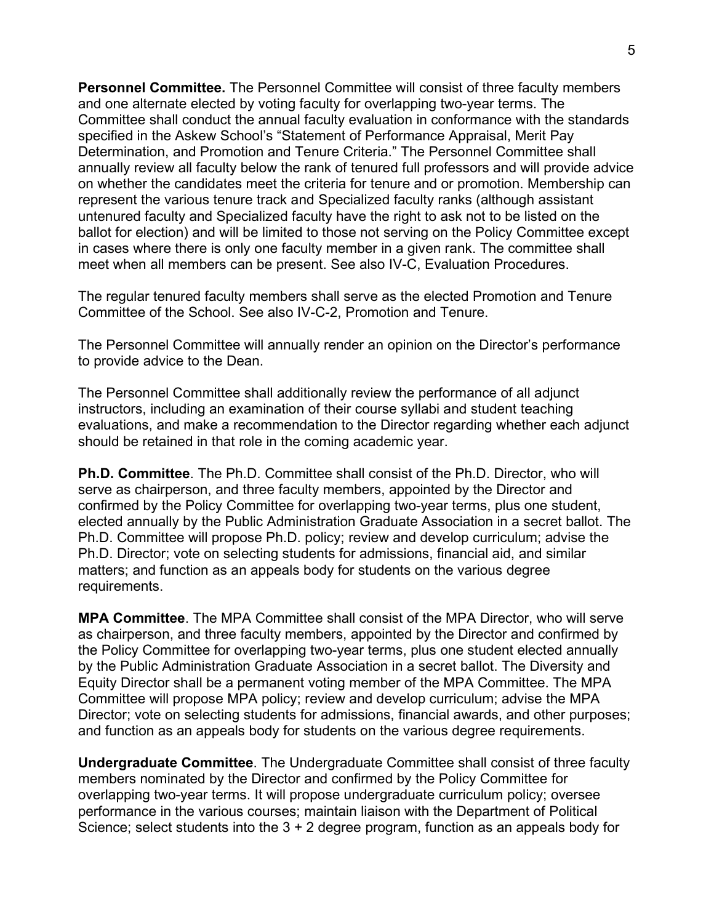**Personnel Committee.** The Personnel Committee will consist of three faculty members and one alternate elected by voting faculty for overlapping two-year terms. The Committee shall conduct the annual faculty evaluation in conformance with the standards specified in the Askew School's "Statement of Performance Appraisal, Merit Pay Determination, and Promotion and Tenure Criteria." The Personnel Committee shall annually review all faculty below the rank of tenured full professors and will provide advice on whether the candidates meet the criteria for tenure and or promotion. Membership can represent the various tenure track and Specialized faculty ranks (although assistant untenured faculty and Specialized faculty have the right to ask not to be listed on the ballot for election) and will be limited to those not serving on the Policy Committee except in cases where there is only one faculty member in a given rank. The committee shall meet when all members can be present. See also IV-C, Evaluation Procedures.

The regular tenured faculty members shall serve as the elected Promotion and Tenure Committee of the School. See also IV-C-2, Promotion and Tenure.

The Personnel Committee will annually render an opinion on the Director's performance to provide advice to the Dean.

The Personnel Committee shall additionally review the performance of all adjunct instructors, including an examination of their course syllabi and student teaching evaluations, and make a recommendation to the Director regarding whether each adjunct should be retained in that role in the coming academic year.

**Ph.D. Committee**. The Ph.D. Committee shall consist of the Ph.D. Director, who will serve as chairperson, and three faculty members, appointed by the Director and confirmed by the Policy Committee for overlapping two-year terms, plus one student, elected annually by the Public Administration Graduate Association in a secret ballot. The Ph.D. Committee will propose Ph.D. policy; review and develop curriculum; advise the Ph.D. Director; vote on selecting students for admissions, financial aid, and similar matters; and function as an appeals body for students on the various degree requirements.

**MPA Committee**. The MPA Committee shall consist of the MPA Director, who will serve as chairperson, and three faculty members, appointed by the Director and confirmed by the Policy Committee for overlapping two-year terms, plus one student elected annually by the Public Administration Graduate Association in a secret ballot. The Diversity and Equity Director shall be a permanent voting member of the MPA Committee. The MPA Committee will propose MPA policy; review and develop curriculum; advise the MPA Director; vote on selecting students for admissions, financial awards, and other purposes; and function as an appeals body for students on the various degree requirements.

**Undergraduate Committee**. The Undergraduate Committee shall consist of three faculty members nominated by the Director and confirmed by the Policy Committee for overlapping two-year terms. It will propose undergraduate curriculum policy; oversee performance in the various courses; maintain liaison with the Department of Political Science; select students into the 3 + 2 degree program, function as an appeals body for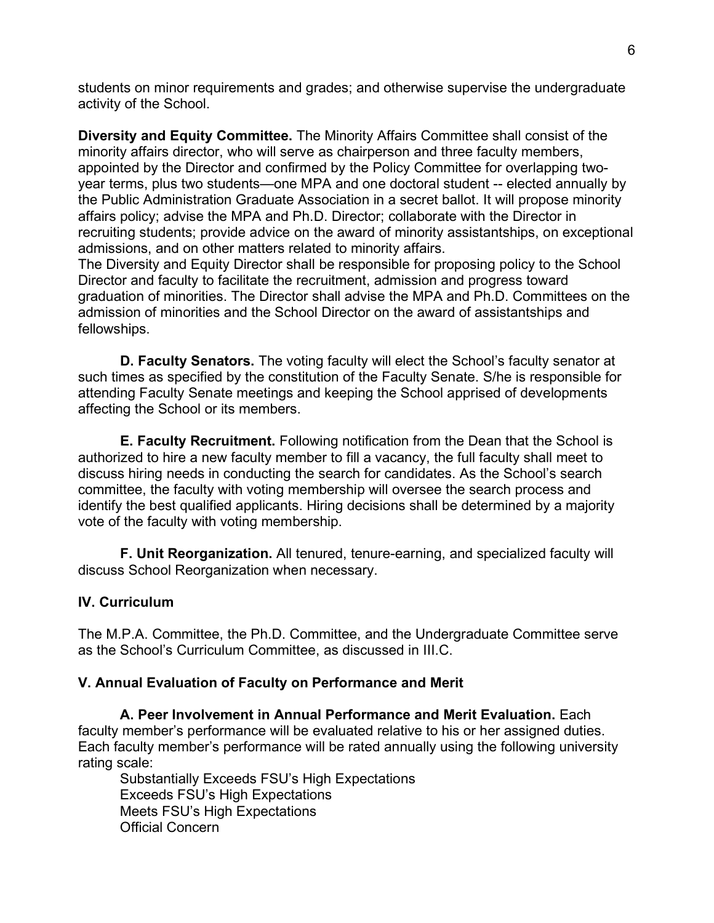students on minor requirements and grades; and otherwise supervise the undergraduate activity of the School.

**Diversity and Equity Committee.** The Minority Affairs Committee shall consist of the minority affairs director, who will serve as chairperson and three faculty members, appointed by the Director and confirmed by the Policy Committee for overlapping twoyear terms, plus two students—one MPA and one doctoral student -- elected annually by the Public Administration Graduate Association in a secret ballot. It will propose minority affairs policy; advise the MPA and Ph.D. Director; collaborate with the Director in recruiting students; provide advice on the award of minority assistantships, on exceptional admissions, and on other matters related to minority affairs.

The Diversity and Equity Director shall be responsible for proposing policy to the School Director and faculty to facilitate the recruitment, admission and progress toward graduation of minorities. The Director shall advise the MPA and Ph.D. Committees on the admission of minorities and the School Director on the award of assistantships and fellowships.

**D. Faculty Senators.** The voting faculty will elect the School's faculty senator at such times as specified by the constitution of the Faculty Senate. S/he is responsible for attending Faculty Senate meetings and keeping the School apprised of developments affecting the School or its members.

**E. Faculty Recruitment.** Following notification from the Dean that the School is authorized to hire a new faculty member to fill a vacancy, the full faculty shall meet to discuss hiring needs in conducting the search for candidates. As the School's search committee, the faculty with voting membership will oversee the search process and identify the best qualified applicants. Hiring decisions shall be determined by a majority vote of the faculty with voting membership.

**F. Unit Reorganization.** All tenured, tenure-earning, and specialized faculty will discuss School Reorganization when necessary.

# **IV. Curriculum**

The M.P.A. Committee, the Ph.D. Committee, and the Undergraduate Committee serve as the School's Curriculum Committee, as discussed in III.C.

#### **V. Annual Evaluation of Faculty on Performance and Merit**

**A. Peer Involvement in Annual Performance and Merit Evaluation.** Each faculty member's performance will be evaluated relative to his or her assigned duties. Each faculty member's performance will be rated annually using the following university rating scale:

Substantially Exceeds FSU's High Expectations Exceeds FSU's High Expectations Meets FSU's High Expectations Official Concern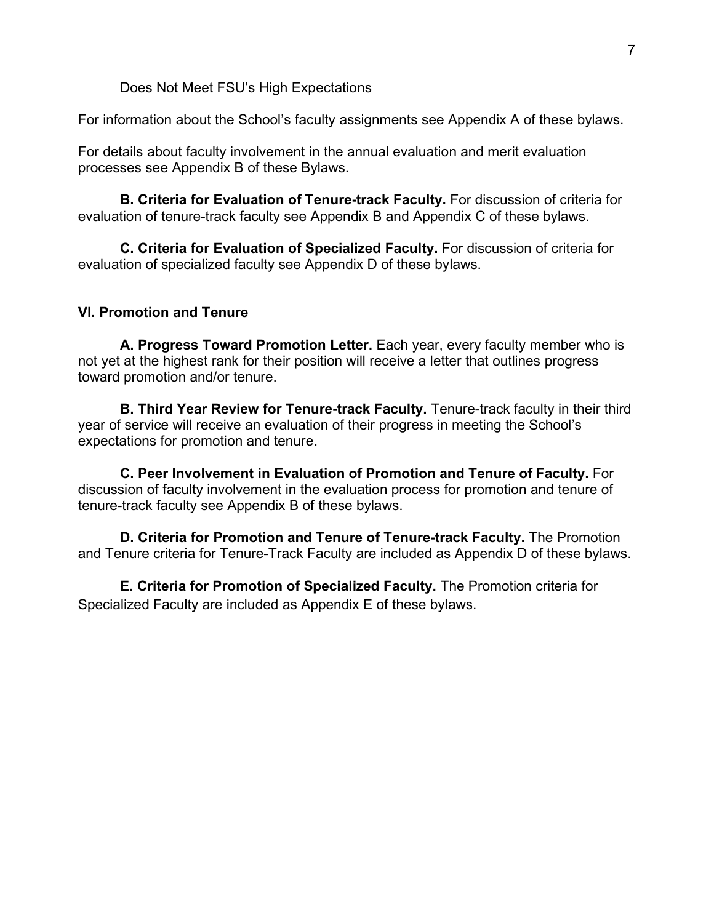Does Not Meet FSU's High Expectations

For information about the School's faculty assignments see Appendix A of these bylaws.

For details about faculty involvement in the annual evaluation and merit evaluation processes see Appendix B of these Bylaws.

**B. Criteria for Evaluation of Tenure-track Faculty.** For discussion of criteria for evaluation of tenure-track faculty see Appendix B and Appendix C of these bylaws.

**C. Criteria for Evaluation of Specialized Faculty.** For discussion of criteria for evaluation of specialized faculty see Appendix D of these bylaws.

#### **VI. Promotion and Tenure**

**A. Progress Toward Promotion Letter.** Each year, every faculty member who is not yet at the highest rank for their position will receive a letter that outlines progress toward promotion and/or tenure.

**B. Third Year Review for Tenure-track Faculty.** Tenure-track faculty in their third year of service will receive an evaluation of their progress in meeting the School's expectations for promotion and tenure.

**C. Peer Involvement in Evaluation of Promotion and Tenure of Faculty.** For discussion of faculty involvement in the evaluation process for promotion and tenure of tenure-track faculty see Appendix B of these bylaws.

**D. Criteria for Promotion and Tenure of Tenure-track Faculty.** The Promotion and Tenure criteria for Tenure-Track Faculty are included as Appendix D of these bylaws.

**E. Criteria for Promotion of Specialized Faculty.** The Promotion criteria for Specialized Faculty are included as Appendix E of these bylaws.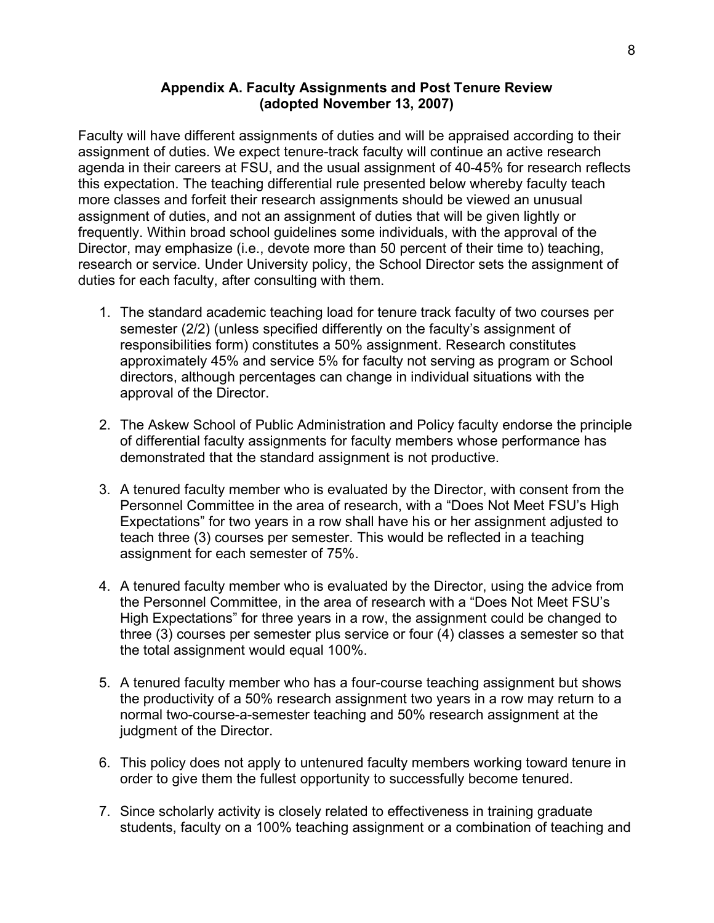#### **Appendix A. Faculty Assignments and Post Tenure Review (adopted November 13, 2007)**

Faculty will have different assignments of duties and will be appraised according to their assignment of duties. We expect tenure-track faculty will continue an active research agenda in their careers at FSU, and the usual assignment of 40-45% for research reflects this expectation. The teaching differential rule presented below whereby faculty teach more classes and forfeit their research assignments should be viewed an unusual assignment of duties, and not an assignment of duties that will be given lightly or frequently. Within broad school guidelines some individuals, with the approval of the Director, may emphasize (i.e., devote more than 50 percent of their time to) teaching, research or service. Under University policy, the School Director sets the assignment of duties for each faculty, after consulting with them.

- 1. The standard academic teaching load for tenure track faculty of two courses per semester (2/2) (unless specified differently on the faculty's assignment of responsibilities form) constitutes a 50% assignment. Research constitutes approximately 45% and service 5% for faculty not serving as program or School directors, although percentages can change in individual situations with the approval of the Director.
- 2. The Askew School of Public Administration and Policy faculty endorse the principle of differential faculty assignments for faculty members whose performance has demonstrated that the standard assignment is not productive.
- 3. A tenured faculty member who is evaluated by the Director, with consent from the Personnel Committee in the area of research, with a "Does Not Meet FSU's High Expectations" for two years in a row shall have his or her assignment adjusted to teach three (3) courses per semester. This would be reflected in a teaching assignment for each semester of 75%.
- 4. A tenured faculty member who is evaluated by the Director, using the advice from the Personnel Committee, in the area of research with a "Does Not Meet FSU's High Expectations" for three years in a row, the assignment could be changed to three (3) courses per semester plus service or four (4) classes a semester so that the total assignment would equal 100%.
- 5. A tenured faculty member who has a four-course teaching assignment but shows the productivity of a 50% research assignment two years in a row may return to a normal two-course-a-semester teaching and 50% research assignment at the judgment of the Director.
- 6. This policy does not apply to untenured faculty members working toward tenure in order to give them the fullest opportunity to successfully become tenured.
- 7. Since scholarly activity is closely related to effectiveness in training graduate students, faculty on a 100% teaching assignment or a combination of teaching and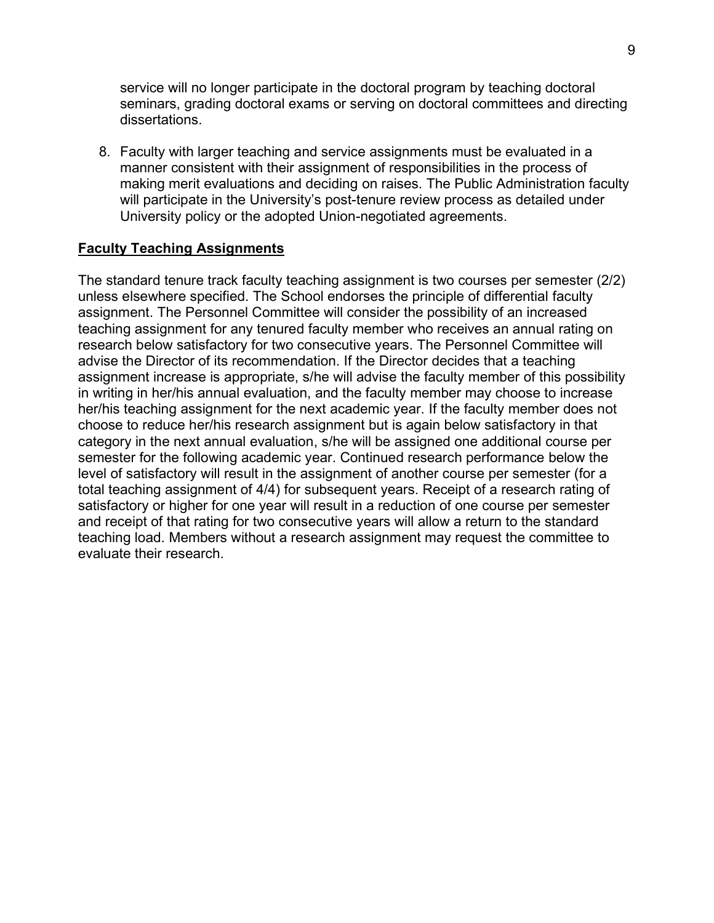service will no longer participate in the doctoral program by teaching doctoral seminars, grading doctoral exams or serving on doctoral committees and directing dissertations.

8. Faculty with larger teaching and service assignments must be evaluated in a manner consistent with their assignment of responsibilities in the process of making merit evaluations and deciding on raises. The Public Administration faculty will participate in the University's post-tenure review process as detailed under University policy or the adopted Union-negotiated agreements.

#### **Faculty Teaching Assignments**

The standard tenure track faculty teaching assignment is two courses per semester (2/2) unless elsewhere specified. The School endorses the principle of differential faculty assignment. The Personnel Committee will consider the possibility of an increased teaching assignment for any tenured faculty member who receives an annual rating on research below satisfactory for two consecutive years. The Personnel Committee will advise the Director of its recommendation. If the Director decides that a teaching assignment increase is appropriate, s/he will advise the faculty member of this possibility in writing in her/his annual evaluation, and the faculty member may choose to increase her/his teaching assignment for the next academic year. If the faculty member does not choose to reduce her/his research assignment but is again below satisfactory in that category in the next annual evaluation, s/he will be assigned one additional course per semester for the following academic year. Continued research performance below the level of satisfactory will result in the assignment of another course per semester (for a total teaching assignment of 4/4) for subsequent years. Receipt of a research rating of satisfactory or higher for one year will result in a reduction of one course per semester and receipt of that rating for two consecutive years will allow a return to the standard teaching load. Members without a research assignment may request the committee to evaluate their research.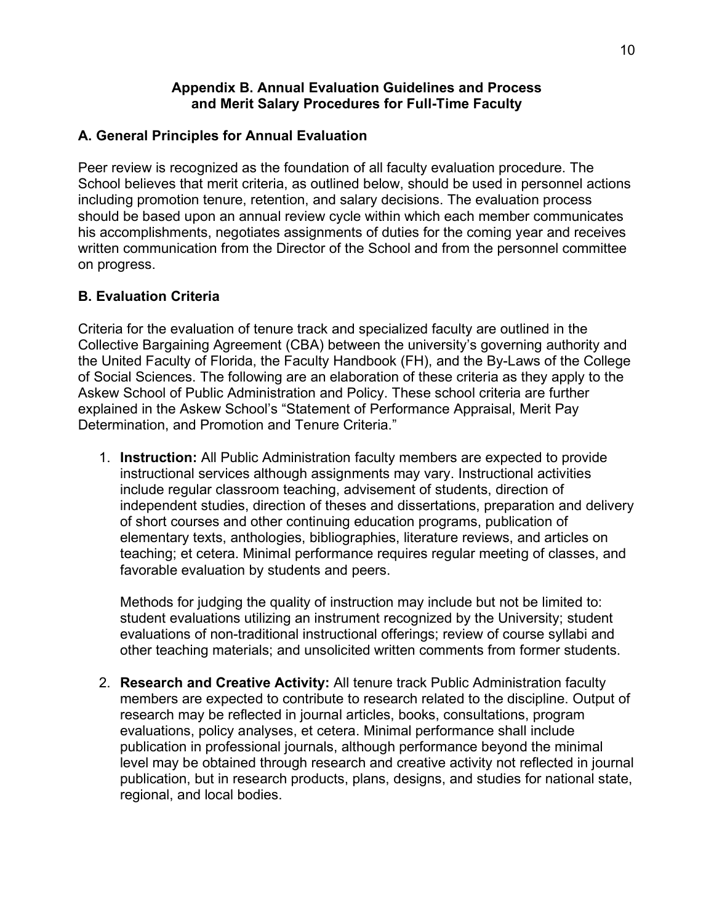#### **Appendix B. Annual Evaluation Guidelines and Process and Merit Salary Procedures for Full-Time Faculty**

#### **A. General Principles for Annual Evaluation**

Peer review is recognized as the foundation of all faculty evaluation procedure. The School believes that merit criteria, as outlined below, should be used in personnel actions including promotion tenure, retention, and salary decisions. The evaluation process should be based upon an annual review cycle within which each member communicates his accomplishments, negotiates assignments of duties for the coming year and receives written communication from the Director of the School and from the personnel committee on progress.

## **B. Evaluation Criteria**

Criteria for the evaluation of tenure track and specialized faculty are outlined in the Collective Bargaining Agreement (CBA) between the university's governing authority and the United Faculty of Florida, the Faculty Handbook (FH), and the By-Laws of the College of Social Sciences. The following are an elaboration of these criteria as they apply to the Askew School of Public Administration and Policy. These school criteria are further explained in the Askew School's "Statement of Performance Appraisal, Merit Pay Determination, and Promotion and Tenure Criteria."

1. **Instruction:** All Public Administration faculty members are expected to provide instructional services although assignments may vary. Instructional activities include regular classroom teaching, advisement of students, direction of independent studies, direction of theses and dissertations, preparation and delivery of short courses and other continuing education programs, publication of elementary texts, anthologies, bibliographies, literature reviews, and articles on teaching; et cetera. Minimal performance requires regular meeting of classes, and favorable evaluation by students and peers.

Methods for judging the quality of instruction may include but not be limited to: student evaluations utilizing an instrument recognized by the University; student evaluations of non-traditional instructional offerings; review of course syllabi and other teaching materials; and unsolicited written comments from former students.

2. **Research and Creative Activity:** All tenure track Public Administration faculty members are expected to contribute to research related to the discipline. Output of research may be reflected in journal articles, books, consultations, program evaluations, policy analyses, et cetera. Minimal performance shall include publication in professional journals, although performance beyond the minimal level may be obtained through research and creative activity not reflected in journal publication, but in research products, plans, designs, and studies for national state, regional, and local bodies.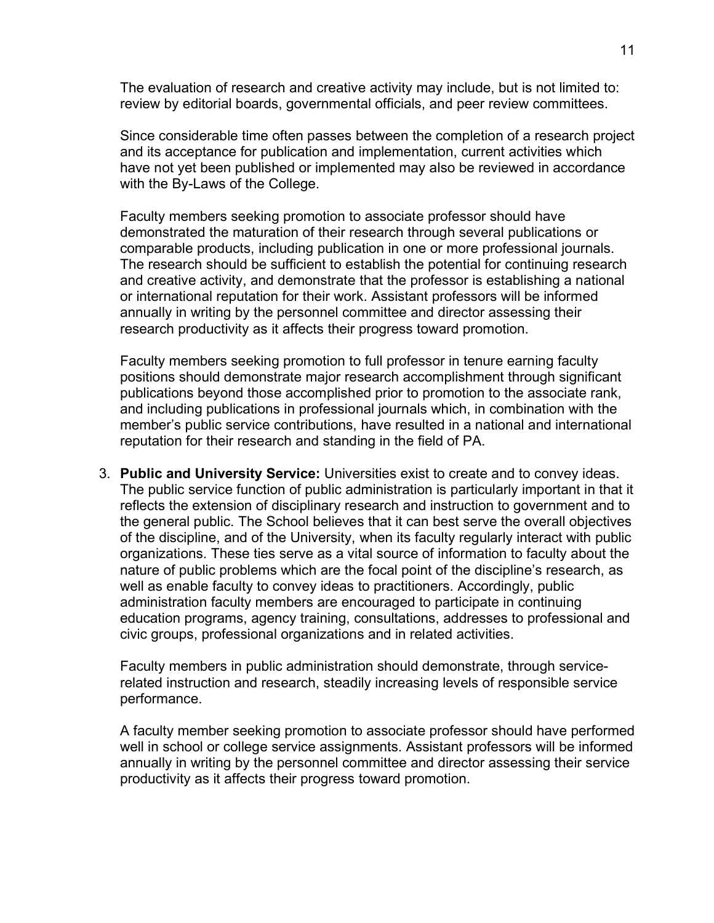The evaluation of research and creative activity may include, but is not limited to: review by editorial boards, governmental officials, and peer review committees.

Since considerable time often passes between the completion of a research project and its acceptance for publication and implementation, current activities which have not yet been published or implemented may also be reviewed in accordance with the By-Laws of the College.

Faculty members seeking promotion to associate professor should have demonstrated the maturation of their research through several publications or comparable products, including publication in one or more professional journals. The research should be sufficient to establish the potential for continuing research and creative activity, and demonstrate that the professor is establishing a national or international reputation for their work. Assistant professors will be informed annually in writing by the personnel committee and director assessing their research productivity as it affects their progress toward promotion.

Faculty members seeking promotion to full professor in tenure earning faculty positions should demonstrate major research accomplishment through significant publications beyond those accomplished prior to promotion to the associate rank, and including publications in professional journals which, in combination with the member's public service contributions, have resulted in a national and international reputation for their research and standing in the field of PA.

3. **Public and University Service:** Universities exist to create and to convey ideas. The public service function of public administration is particularly important in that it reflects the extension of disciplinary research and instruction to government and to the general public. The School believes that it can best serve the overall objectives of the discipline, and of the University, when its faculty regularly interact with public organizations. These ties serve as a vital source of information to faculty about the nature of public problems which are the focal point of the discipline's research, as well as enable faculty to convey ideas to practitioners. Accordingly, public administration faculty members are encouraged to participate in continuing education programs, agency training, consultations, addresses to professional and civic groups, professional organizations and in related activities.

Faculty members in public administration should demonstrate, through servicerelated instruction and research, steadily increasing levels of responsible service performance.

A faculty member seeking promotion to associate professor should have performed well in school or college service assignments. Assistant professors will be informed annually in writing by the personnel committee and director assessing their service productivity as it affects their progress toward promotion.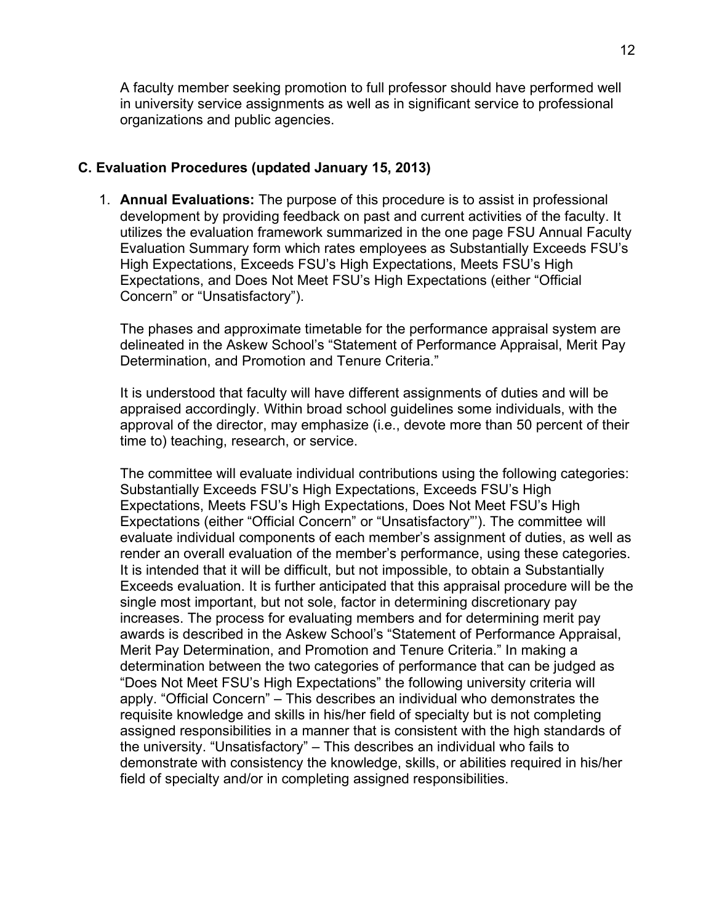A faculty member seeking promotion to full professor should have performed well in university service assignments as well as in significant service to professional organizations and public agencies.

#### **C. Evaluation Procedures (updated January 15, 2013)**

1. **Annual Evaluations:** The purpose of this procedure is to assist in professional development by providing feedback on past and current activities of the faculty. It utilizes the evaluation framework summarized in the one page FSU Annual Faculty Evaluation Summary form which rates employees as Substantially Exceeds FSU's High Expectations, Exceeds FSU's High Expectations, Meets FSU's High Expectations, and Does Not Meet FSU's High Expectations (either "Official Concern" or "Unsatisfactory").

The phases and approximate timetable for the performance appraisal system are delineated in the Askew School's "Statement of Performance Appraisal, Merit Pay Determination, and Promotion and Tenure Criteria."

It is understood that faculty will have different assignments of duties and will be appraised accordingly. Within broad school guidelines some individuals, with the approval of the director, may emphasize (i.e., devote more than 50 percent of their time to) teaching, research, or service.

The committee will evaluate individual contributions using the following categories: Substantially Exceeds FSU's High Expectations, Exceeds FSU's High Expectations, Meets FSU's High Expectations, Does Not Meet FSU's High Expectations (either "Official Concern" or "Unsatisfactory"'). The committee will evaluate individual components of each member's assignment of duties, as well as render an overall evaluation of the member's performance, using these categories. It is intended that it will be difficult, but not impossible, to obtain a Substantially Exceeds evaluation. It is further anticipated that this appraisal procedure will be the single most important, but not sole, factor in determining discretionary pay increases. The process for evaluating members and for determining merit pay awards is described in the Askew School's "Statement of Performance Appraisal, Merit Pay Determination, and Promotion and Tenure Criteria." In making a determination between the two categories of performance that can be judged as "Does Not Meet FSU's High Expectations" the following university criteria will apply. "Official Concern" – This describes an individual who demonstrates the requisite knowledge and skills in his/her field of specialty but is not completing assigned responsibilities in a manner that is consistent with the high standards of the university. "Unsatisfactory" – This describes an individual who fails to demonstrate with consistency the knowledge, skills, or abilities required in his/her field of specialty and/or in completing assigned responsibilities.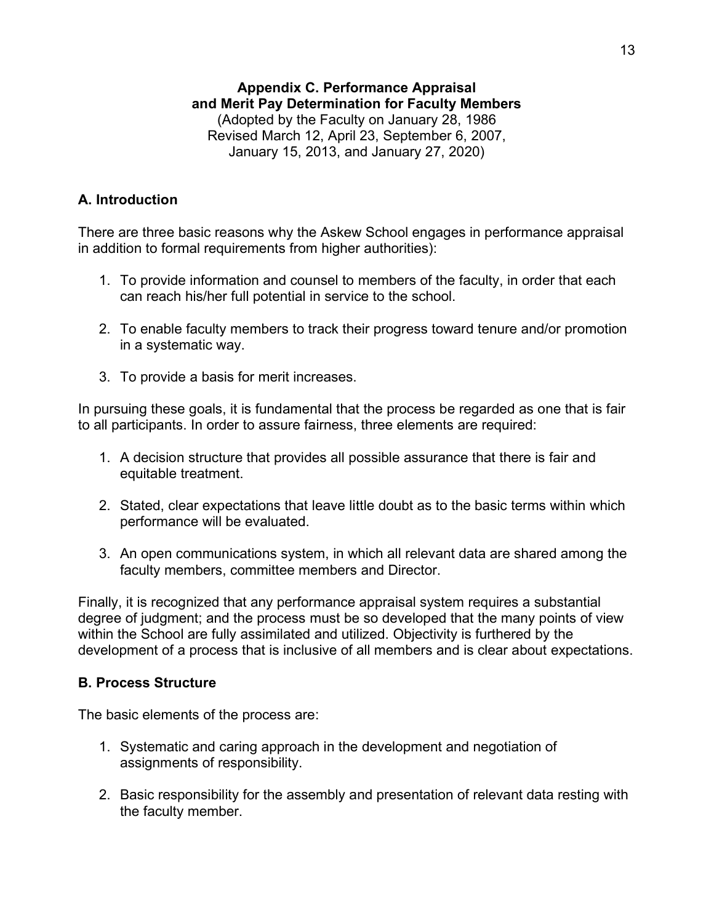# **Appendix C. Performance Appraisal and Merit Pay Determination for Faculty Members**

(Adopted by the Faculty on January 28, 1986 Revised March 12, April 23, September 6, 2007, January 15, 2013, and January 27, 2020)

## **A. Introduction**

There are three basic reasons why the Askew School engages in performance appraisal in addition to formal requirements from higher authorities):

- 1. To provide information and counsel to members of the faculty, in order that each can reach his/her full potential in service to the school.
- 2. To enable faculty members to track their progress toward tenure and/or promotion in a systematic way.
- 3. To provide a basis for merit increases.

In pursuing these goals, it is fundamental that the process be regarded as one that is fair to all participants. In order to assure fairness, three elements are required:

- 1. A decision structure that provides all possible assurance that there is fair and equitable treatment.
- 2. Stated, clear expectations that leave little doubt as to the basic terms within which performance will be evaluated.
- 3. An open communications system, in which all relevant data are shared among the faculty members, committee members and Director.

Finally, it is recognized that any performance appraisal system requires a substantial degree of judgment; and the process must be so developed that the many points of view within the School are fully assimilated and utilized. Objectivity is furthered by the development of a process that is inclusive of all members and is clear about expectations.

#### **B. Process Structure**

The basic elements of the process are:

- 1. Systematic and caring approach in the development and negotiation of assignments of responsibility.
- 2. Basic responsibility for the assembly and presentation of relevant data resting with the faculty member.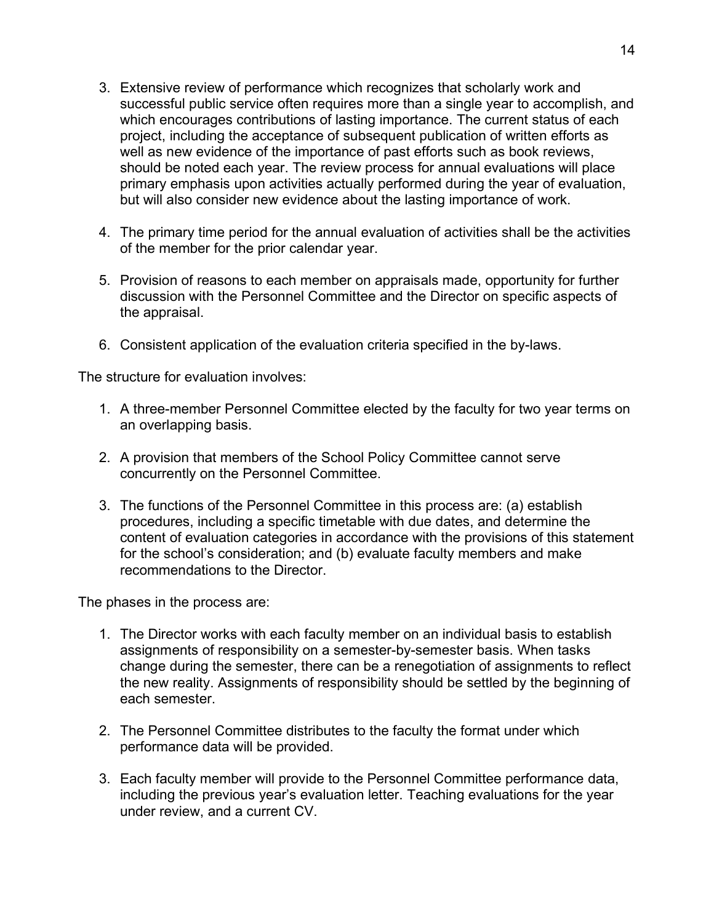- 3. Extensive review of performance which recognizes that scholarly work and successful public service often requires more than a single year to accomplish, and which encourages contributions of lasting importance. The current status of each project, including the acceptance of subsequent publication of written efforts as well as new evidence of the importance of past efforts such as book reviews, should be noted each year. The review process for annual evaluations will place primary emphasis upon activities actually performed during the year of evaluation, but will also consider new evidence about the lasting importance of work.
- 4. The primary time period for the annual evaluation of activities shall be the activities of the member for the prior calendar year.
- 5. Provision of reasons to each member on appraisals made, opportunity for further discussion with the Personnel Committee and the Director on specific aspects of the appraisal.
- 6. Consistent application of the evaluation criteria specified in the by-laws.

The structure for evaluation involves:

- 1. A three-member Personnel Committee elected by the faculty for two year terms on an overlapping basis.
- 2. A provision that members of the School Policy Committee cannot serve concurrently on the Personnel Committee.
- 3. The functions of the Personnel Committee in this process are: (a) establish procedures, including a specific timetable with due dates, and determine the content of evaluation categories in accordance with the provisions of this statement for the school's consideration; and (b) evaluate faculty members and make recommendations to the Director.

The phases in the process are:

- 1. The Director works with each faculty member on an individual basis to establish assignments of responsibility on a semester-by-semester basis. When tasks change during the semester, there can be a renegotiation of assignments to reflect the new reality. Assignments of responsibility should be settled by the beginning of each semester.
- 2. The Personnel Committee distributes to the faculty the format under which performance data will be provided.
- 3. Each faculty member will provide to the Personnel Committee performance data, including the previous year's evaluation letter. Teaching evaluations for the year under review, and a current CV.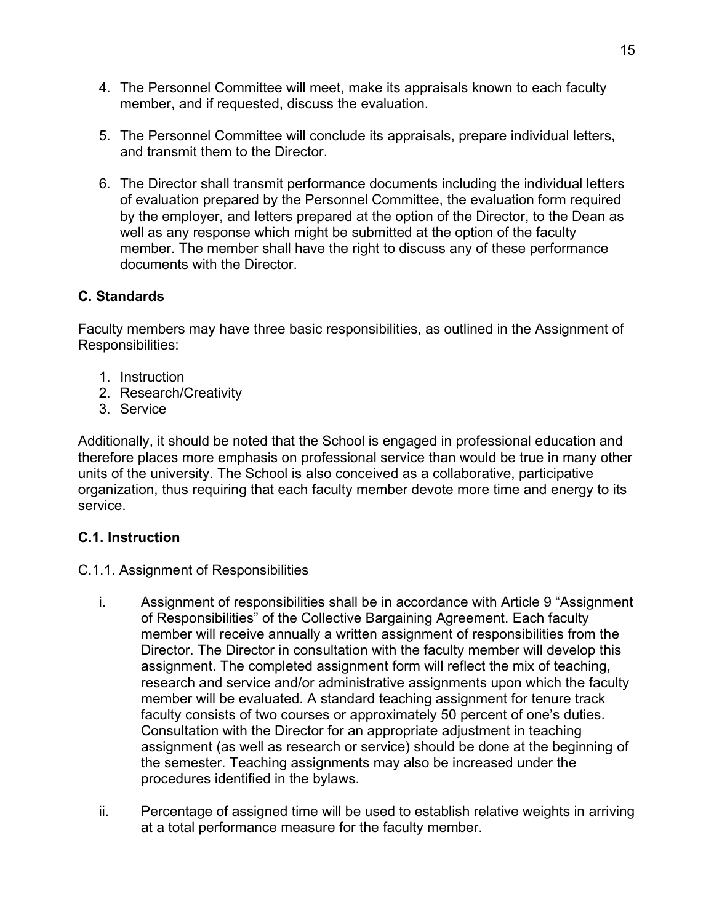- 4. The Personnel Committee will meet, make its appraisals known to each faculty member, and if requested, discuss the evaluation.
- 5. The Personnel Committee will conclude its appraisals, prepare individual letters, and transmit them to the Director.
- 6. The Director shall transmit performance documents including the individual letters of evaluation prepared by the Personnel Committee, the evaluation form required by the employer, and letters prepared at the option of the Director, to the Dean as well as any response which might be submitted at the option of the faculty member. The member shall have the right to discuss any of these performance documents with the Director.

# **C. Standards**

Faculty members may have three basic responsibilities, as outlined in the Assignment of Responsibilities:

- 1. Instruction
- 2. Research/Creativity
- 3. Service

Additionally, it should be noted that the School is engaged in professional education and therefore places more emphasis on professional service than would be true in many other units of the university. The School is also conceived as a collaborative, participative organization, thus requiring that each faculty member devote more time and energy to its service.

# **C.1. Instruction**

- C.1.1. Assignment of Responsibilities
	- i. Assignment of responsibilities shall be in accordance with Article 9 "Assignment of Responsibilities" of the Collective Bargaining Agreement. Each faculty member will receive annually a written assignment of responsibilities from the Director. The Director in consultation with the faculty member will develop this assignment. The completed assignment form will reflect the mix of teaching, research and service and/or administrative assignments upon which the faculty member will be evaluated. A standard teaching assignment for tenure track faculty consists of two courses or approximately 50 percent of one's duties. Consultation with the Director for an appropriate adjustment in teaching assignment (as well as research or service) should be done at the beginning of the semester. Teaching assignments may also be increased under the procedures identified in the bylaws.
	- ii. Percentage of assigned time will be used to establish relative weights in arriving at a total performance measure for the faculty member.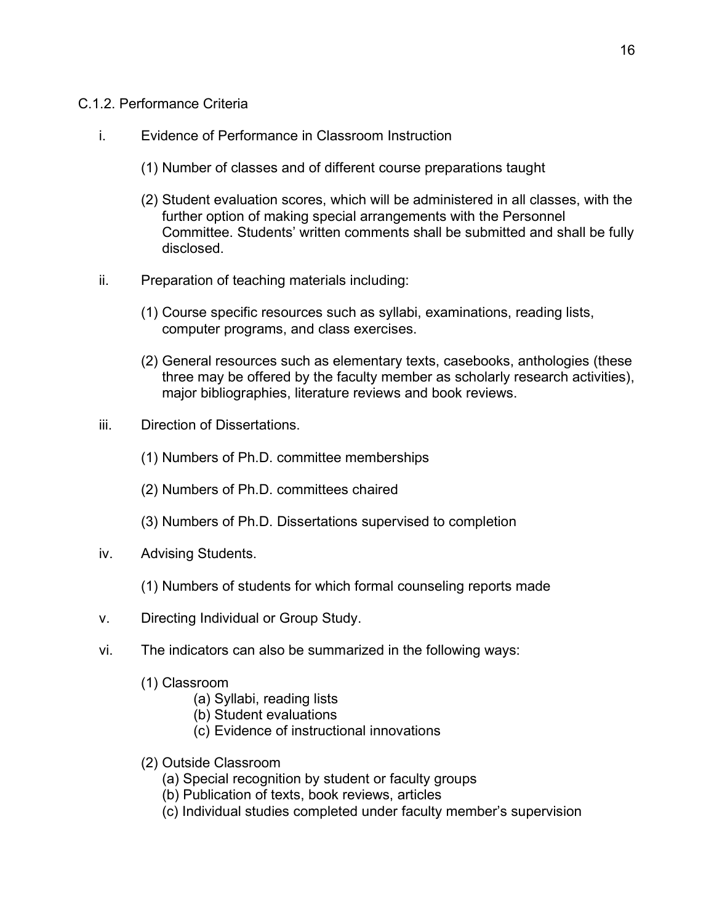#### C.1.2. Performance Criteria

- i. Evidence of Performance in Classroom Instruction
	- (1) Number of classes and of different course preparations taught
	- (2) Student evaluation scores, which will be administered in all classes, with the further option of making special arrangements with the Personnel Committee. Students' written comments shall be submitted and shall be fully disclosed.
- ii. Preparation of teaching materials including:
	- (1) Course specific resources such as syllabi, examinations, reading lists, computer programs, and class exercises.
	- (2) General resources such as elementary texts, casebooks, anthologies (these three may be offered by the faculty member as scholarly research activities), major bibliographies, literature reviews and book reviews.
- iii. Direction of Dissertations.
	- (1) Numbers of Ph.D. committee memberships
	- (2) Numbers of Ph.D. committees chaired
	- (3) Numbers of Ph.D. Dissertations supervised to completion
- iv. Advising Students.
	- (1) Numbers of students for which formal counseling reports made
- v. Directing Individual or Group Study.
- vi. The indicators can also be summarized in the following ways:
	- (1) Classroom
		- (a) Syllabi, reading lists
		- (b) Student evaluations
		- (c) Evidence of instructional innovations
	- (2) Outside Classroom
		- (a) Special recognition by student or faculty groups
		- (b) Publication of texts, book reviews, articles
		- (c) Individual studies completed under faculty member's supervision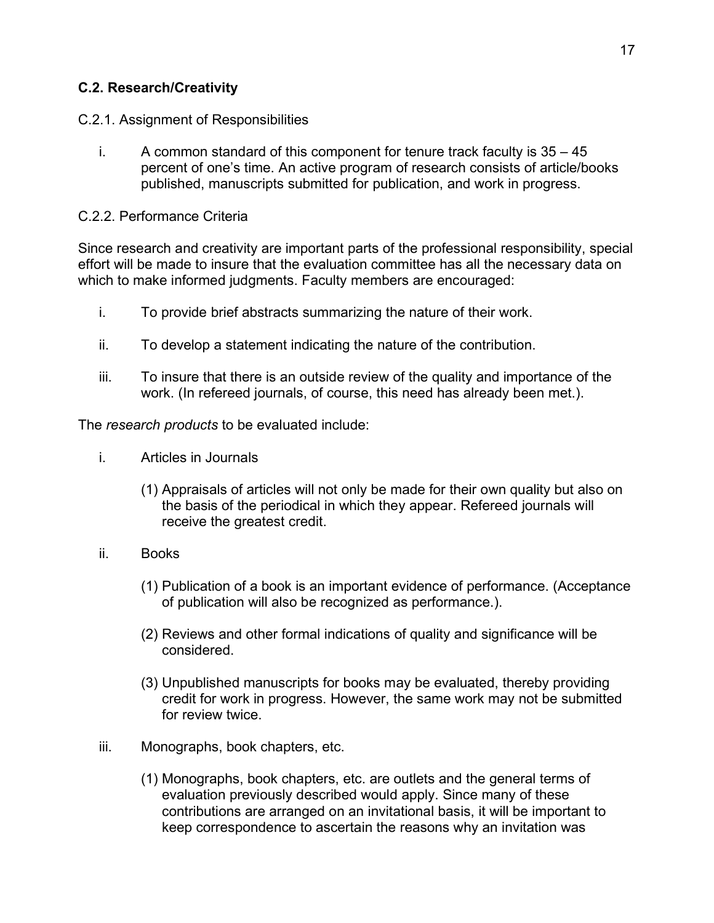## **C.2. Research/Creativity**

- C.2.1. Assignment of Responsibilities
	- i. A common standard of this component for tenure track faculty is  $35 45$ percent of one's time. An active program of research consists of article/books published, manuscripts submitted for publication, and work in progress.

#### C.2.2. Performance Criteria

Since research and creativity are important parts of the professional responsibility, special effort will be made to insure that the evaluation committee has all the necessary data on which to make informed judgments. Faculty members are encouraged:

- i. To provide brief abstracts summarizing the nature of their work.
- ii. To develop a statement indicating the nature of the contribution.
- iii. To insure that there is an outside review of the quality and importance of the work. (In refereed journals, of course, this need has already been met.).

The *research products* to be evaluated include:

- i. Articles in Journals
	- (1) Appraisals of articles will not only be made for their own quality but also on the basis of the periodical in which they appear. Refereed journals will receive the greatest credit.
- ii. Books
	- (1) Publication of a book is an important evidence of performance. (Acceptance of publication will also be recognized as performance.).
	- (2) Reviews and other formal indications of quality and significance will be considered.
	- (3) Unpublished manuscripts for books may be evaluated, thereby providing credit for work in progress. However, the same work may not be submitted for review twice.
- iii. Monographs, book chapters, etc.
	- (1) Monographs, book chapters, etc. are outlets and the general terms of evaluation previously described would apply. Since many of these contributions are arranged on an invitational basis, it will be important to keep correspondence to ascertain the reasons why an invitation was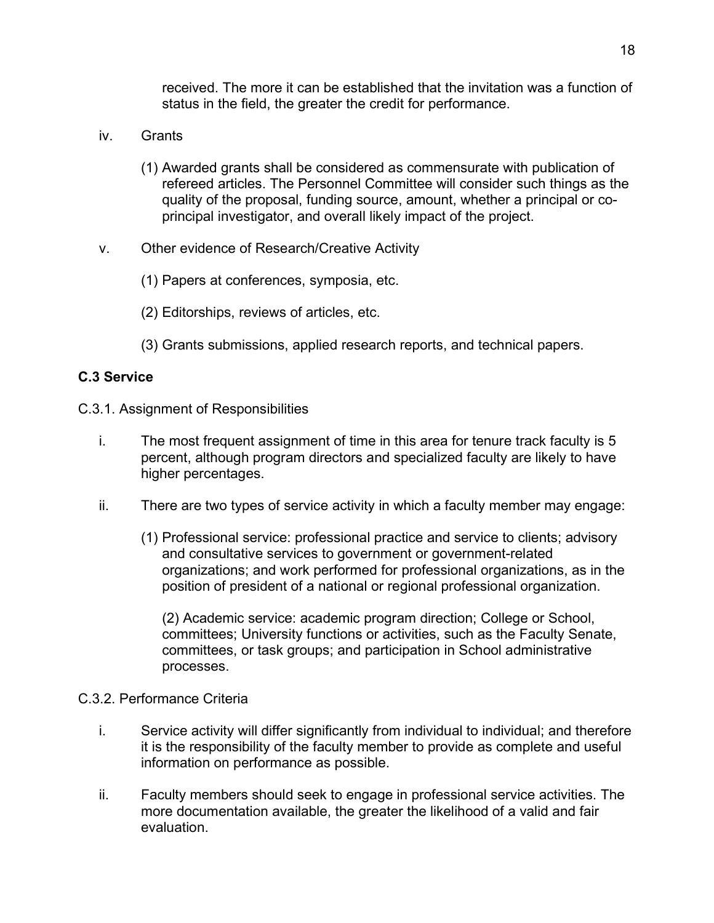received. The more it can be established that the invitation was a function of status in the field, the greater the credit for performance.

- iv. Grants
	- (1) Awarded grants shall be considered as commensurate with publication of refereed articles. The Personnel Committee will consider such things as the quality of the proposal, funding source, amount, whether a principal or coprincipal investigator, and overall likely impact of the project.
- v. Other evidence of Research/Creative Activity
	- (1) Papers at conferences, symposia, etc.
	- (2) Editorships, reviews of articles, etc.
	- (3) Grants submissions, applied research reports, and technical papers.

#### **C.3 Service**

- C.3.1. Assignment of Responsibilities
	- i. The most frequent assignment of time in this area for tenure track faculty is 5 percent, although program directors and specialized faculty are likely to have higher percentages.
	- ii. There are two types of service activity in which a faculty member may engage:
		- (1) Professional service: professional practice and service to clients; advisory and consultative services to government or government-related organizations; and work performed for professional organizations, as in the position of president of a national or regional professional organization.

(2) Academic service: academic program direction; College or School, committees; University functions or activities, such as the Faculty Senate, committees, or task groups; and participation in School administrative processes.

#### C.3.2. Performance Criteria

- i. Service activity will differ significantly from individual to individual; and therefore it is the responsibility of the faculty member to provide as complete and useful information on performance as possible.
- ii. Faculty members should seek to engage in professional service activities. The more documentation available, the greater the likelihood of a valid and fair evaluation.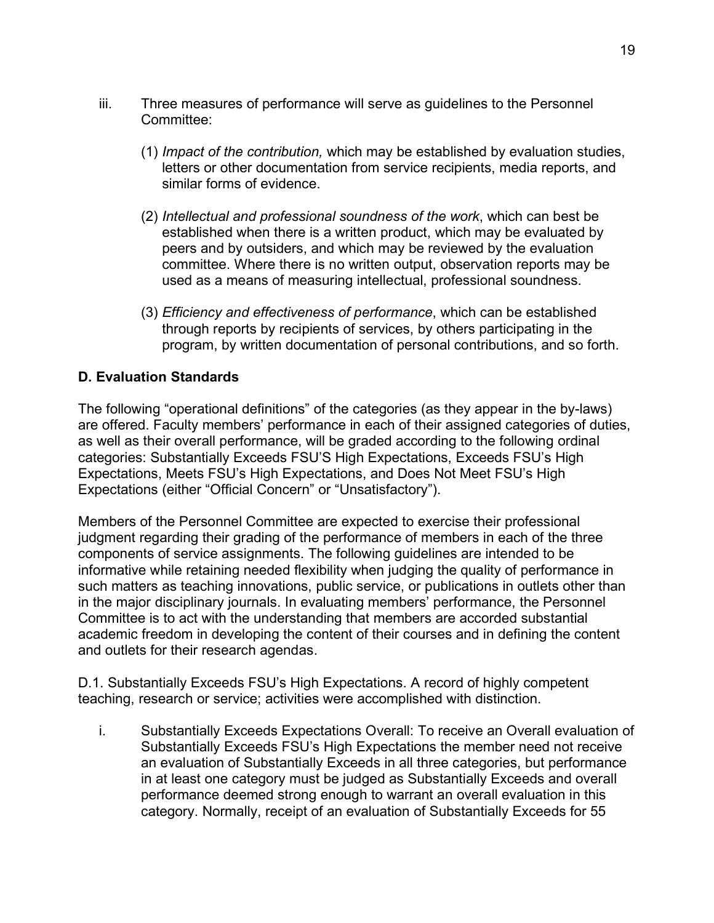- iii. Three measures of performance will serve as guidelines to the Personnel Committee:
	- (1) *Impact of the contribution,* which may be established by evaluation studies, letters or other documentation from service recipients, media reports, and similar forms of evidence.
	- (2) *Intellectual and professional soundness of the work*, which can best be established when there is a written product, which may be evaluated by peers and by outsiders, and which may be reviewed by the evaluation committee. Where there is no written output, observation reports may be used as a means of measuring intellectual, professional soundness.
	- (3) *Efficiency and effectiveness of performance*, which can be established through reports by recipients of services, by others participating in the program, by written documentation of personal contributions, and so forth.

# **D. Evaluation Standards**

The following "operational definitions" of the categories (as they appear in the by-laws) are offered. Faculty members' performance in each of their assigned categories of duties, as well as their overall performance, will be graded according to the following ordinal categories: Substantially Exceeds FSU'S High Expectations, Exceeds FSU's High Expectations, Meets FSU's High Expectations, and Does Not Meet FSU's High Expectations (either "Official Concern" or "Unsatisfactory").

Members of the Personnel Committee are expected to exercise their professional judgment regarding their grading of the performance of members in each of the three components of service assignments. The following guidelines are intended to be informative while retaining needed flexibility when judging the quality of performance in such matters as teaching innovations, public service, or publications in outlets other than in the major disciplinary journals. In evaluating members' performance, the Personnel Committee is to act with the understanding that members are accorded substantial academic freedom in developing the content of their courses and in defining the content and outlets for their research agendas.

D.1. Substantially Exceeds FSU's High Expectations. A record of highly competent teaching, research or service; activities were accomplished with distinction.

i. Substantially Exceeds Expectations Overall: To receive an Overall evaluation of Substantially Exceeds FSU's High Expectations the member need not receive an evaluation of Substantially Exceeds in all three categories, but performance in at least one category must be judged as Substantially Exceeds and overall performance deemed strong enough to warrant an overall evaluation in this category. Normally, receipt of an evaluation of Substantially Exceeds for 55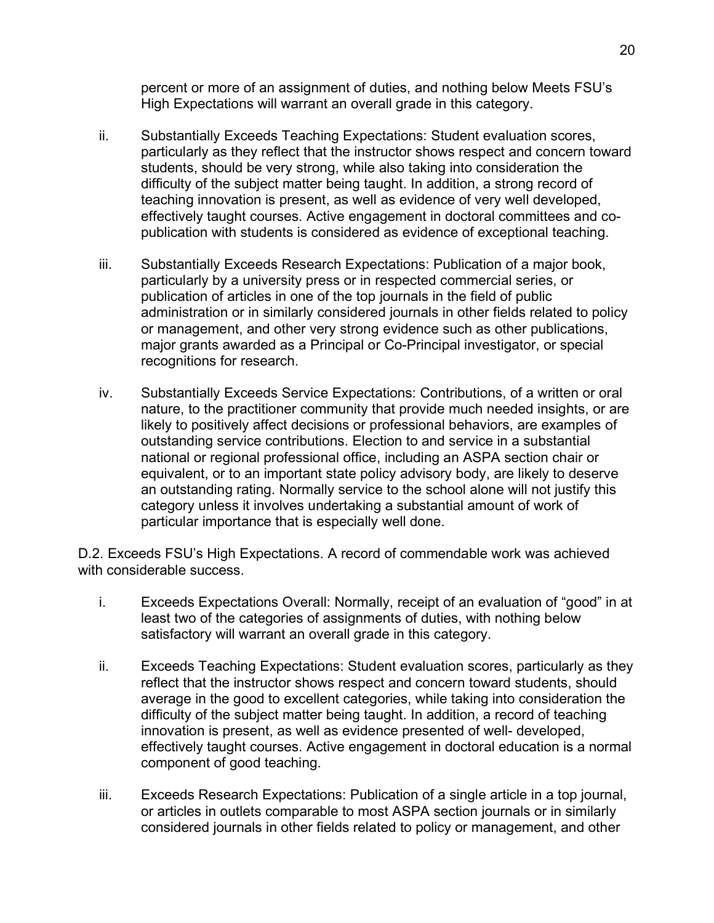percent or more of an assignment of duties, and nothing below Meets FSU's High Expectations will warrant an overall grade in this category.

- ii. Substantially Exceeds Teaching Expectations: Student evaluation scores, particularly as they reflect that the instructor shows respect and concern toward students, should be very strong, while also taking into consideration the difficulty of the subject matter being taught. In addition, a strong record of teaching innovation is present, as well as evidence of very well developed, effectively taught courses. Active engagement in doctoral committees and copublication with students is considered as evidence of exceptional teaching.
- iii. Substantially Exceeds Research Expectations: Publication of a major book, particularly by a university press or in respected commercial series, or publication of articles in one of the top journals in the field of public administration or in similarly considered journals in other fields related to policy or management, and other very strong evidence such as other publications, major grants awarded as a Principal or Co-Principal investigator, or special recognitions for research.
- iv. Substantially Exceeds Service Expectations: Contributions, of a written or oral nature, to the practitioner community that provide much needed insights, or are likely to positively affect decisions or professional behaviors, are examples of outstanding service contributions. Election to and service in a substantial national or regional professional office, including an ASPA section chair or equivalent, or to an important state policy advisory body, are likely to deserve an outstanding rating. Normally service to the school alone will not justify this category unless it involves undertaking a substantial amount of work of particular importance that is especially well done.

D.2. Exceeds FSU's High Expectations. A record of commendable work was achieved with considerable success.

- i. Exceeds Expectations Overall: Normally, receipt of an evaluation of "good" in at least two of the categories of assignments of duties, with nothing below satisfactory will warrant an overall grade in this category.
- ii. Exceeds Teaching Expectations: Student evaluation scores, particularly as they reflect that the instructor shows respect and concern toward students, should average in the good to excellent categories, while taking into consideration the difficulty of the subject matter being taught. In addition, a record of teaching innovation is present, as well as evidence presented of well- developed, effectively taught courses. Active engagement in doctoral education is a normal component of good teaching.
- iii. Exceeds Research Expectations: Publication of a single article in a top journal, or articles in outlets comparable to most ASPA section journals or in similarly considered journals in other fields related to policy or management, and other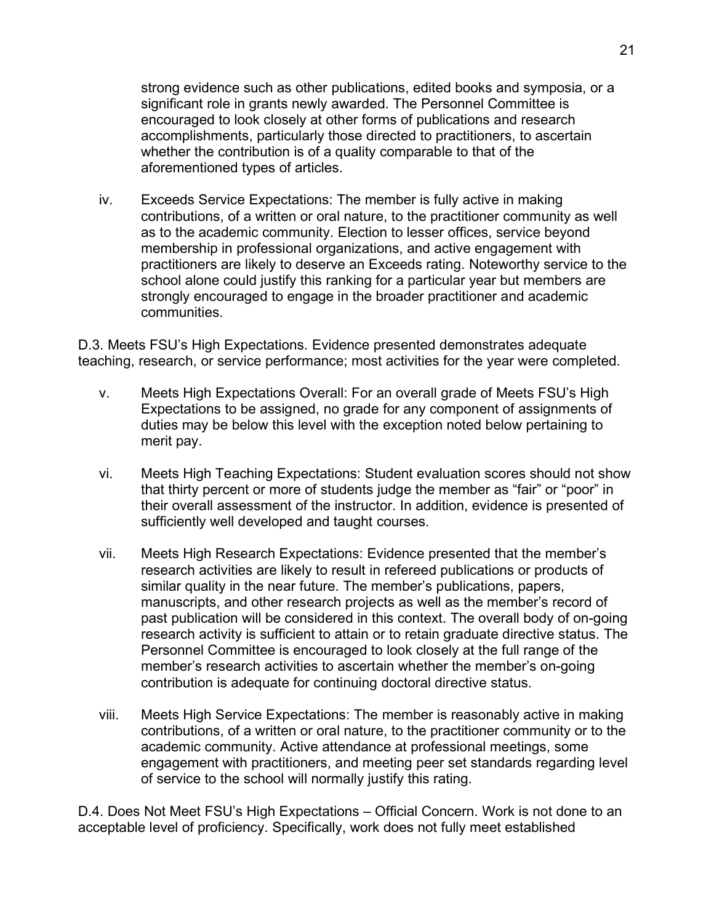strong evidence such as other publications, edited books and symposia, or a significant role in grants newly awarded. The Personnel Committee is encouraged to look closely at other forms of publications and research accomplishments, particularly those directed to practitioners, to ascertain whether the contribution is of a quality comparable to that of the aforementioned types of articles.

iv. Exceeds Service Expectations: The member is fully active in making contributions, of a written or oral nature, to the practitioner community as well as to the academic community. Election to lesser offices, service beyond membership in professional organizations, and active engagement with practitioners are likely to deserve an Exceeds rating. Noteworthy service to the school alone could justify this ranking for a particular year but members are strongly encouraged to engage in the broader practitioner and academic communities.

D.3. Meets FSU's High Expectations. Evidence presented demonstrates adequate teaching, research, or service performance; most activities for the year were completed.

- v. Meets High Expectations Overall: For an overall grade of Meets FSU's High Expectations to be assigned, no grade for any component of assignments of duties may be below this level with the exception noted below pertaining to merit pay.
- vi. Meets High Teaching Expectations: Student evaluation scores should not show that thirty percent or more of students judge the member as "fair" or "poor" in their overall assessment of the instructor. In addition, evidence is presented of sufficiently well developed and taught courses.
- vii. Meets High Research Expectations: Evidence presented that the member's research activities are likely to result in refereed publications or products of similar quality in the near future. The member's publications, papers, manuscripts, and other research projects as well as the member's record of past publication will be considered in this context. The overall body of on-going research activity is sufficient to attain or to retain graduate directive status. The Personnel Committee is encouraged to look closely at the full range of the member's research activities to ascertain whether the member's on-going contribution is adequate for continuing doctoral directive status.
- viii. Meets High Service Expectations: The member is reasonably active in making contributions, of a written or oral nature, to the practitioner community or to the academic community. Active attendance at professional meetings, some engagement with practitioners, and meeting peer set standards regarding level of service to the school will normally justify this rating.

D.4. Does Not Meet FSU's High Expectations – Official Concern. Work is not done to an acceptable level of proficiency. Specifically, work does not fully meet established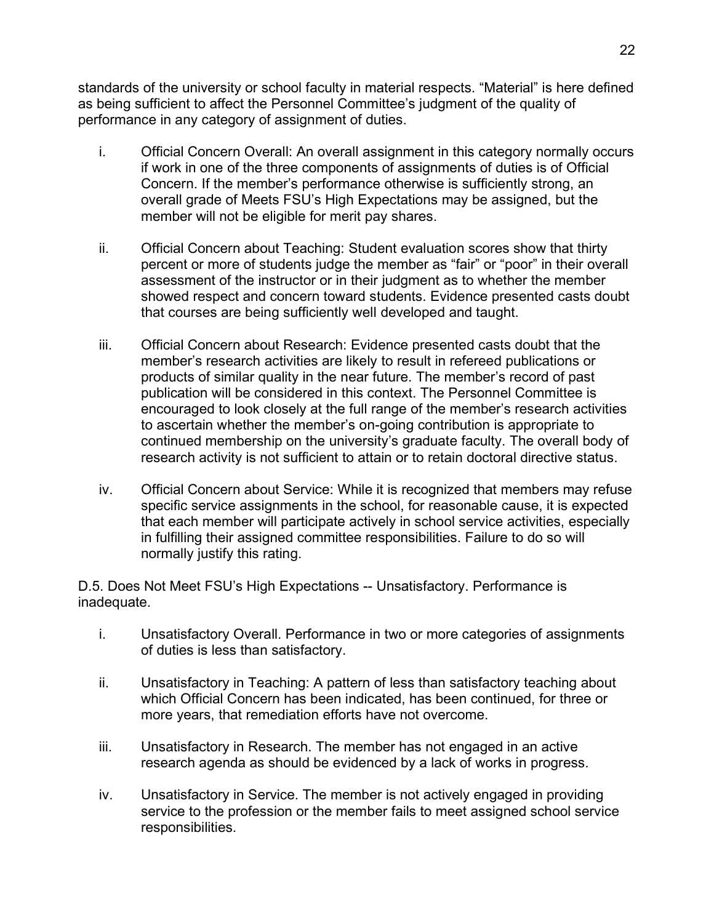standards of the university or school faculty in material respects. "Material" is here defined as being sufficient to affect the Personnel Committee's judgment of the quality of performance in any category of assignment of duties.

- i. Official Concern Overall: An overall assignment in this category normally occurs if work in one of the three components of assignments of duties is of Official Concern. If the member's performance otherwise is sufficiently strong, an overall grade of Meets FSU's High Expectations may be assigned, but the member will not be eligible for merit pay shares.
- ii. Official Concern about Teaching: Student evaluation scores show that thirty percent or more of students judge the member as "fair" or "poor" in their overall assessment of the instructor or in their judgment as to whether the member showed respect and concern toward students. Evidence presented casts doubt that courses are being sufficiently well developed and taught.
- iii. Official Concern about Research: Evidence presented casts doubt that the member's research activities are likely to result in refereed publications or products of similar quality in the near future. The member's record of past publication will be considered in this context. The Personnel Committee is encouraged to look closely at the full range of the member's research activities to ascertain whether the member's on-going contribution is appropriate to continued membership on the university's graduate faculty. The overall body of research activity is not sufficient to attain or to retain doctoral directive status.
- iv. Official Concern about Service: While it is recognized that members may refuse specific service assignments in the school, for reasonable cause, it is expected that each member will participate actively in school service activities, especially in fulfilling their assigned committee responsibilities. Failure to do so will normally justify this rating.

D.5. Does Not Meet FSU's High Expectations -- Unsatisfactory. Performance is inadequate.

- i. Unsatisfactory Overall. Performance in two or more categories of assignments of duties is less than satisfactory.
- ii. Unsatisfactory in Teaching: A pattern of less than satisfactory teaching about which Official Concern has been indicated, has been continued, for three or more years, that remediation efforts have not overcome.
- iii. Unsatisfactory in Research. The member has not engaged in an active research agenda as should be evidenced by a lack of works in progress.
- iv. Unsatisfactory in Service. The member is not actively engaged in providing service to the profession or the member fails to meet assigned school service responsibilities.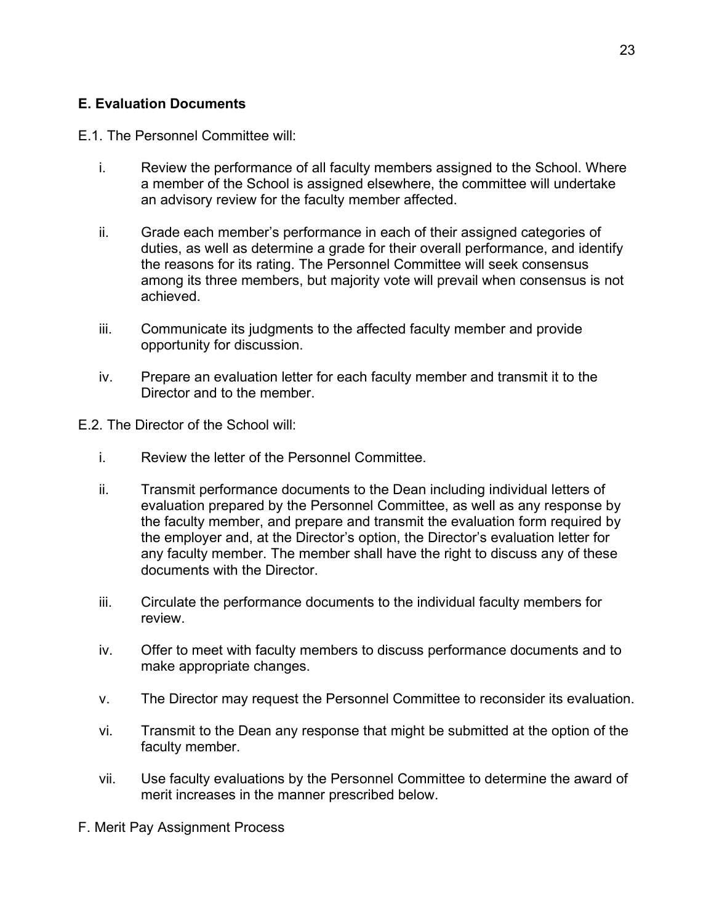## **E. Evaluation Documents**

#### E.1. The Personnel Committee will:

- i. Review the performance of all faculty members assigned to the School. Where a member of the School is assigned elsewhere, the committee will undertake an advisory review for the faculty member affected.
- ii. Grade each member's performance in each of their assigned categories of duties, as well as determine a grade for their overall performance, and identify the reasons for its rating. The Personnel Committee will seek consensus among its three members, but majority vote will prevail when consensus is not achieved.
- iii. Communicate its judgments to the affected faculty member and provide opportunity for discussion.
- iv. Prepare an evaluation letter for each faculty member and transmit it to the Director and to the member.

E.2. The Director of the School will:

- i. Review the letter of the Personnel Committee.
- ii. Transmit performance documents to the Dean including individual letters of evaluation prepared by the Personnel Committee, as well as any response by the faculty member, and prepare and transmit the evaluation form required by the employer and, at the Director's option, the Director's evaluation letter for any faculty member. The member shall have the right to discuss any of these documents with the Director.
- iii. Circulate the performance documents to the individual faculty members for review.
- iv. Offer to meet with faculty members to discuss performance documents and to make appropriate changes.
- v. The Director may request the Personnel Committee to reconsider its evaluation.
- vi. Transmit to the Dean any response that might be submitted at the option of the faculty member.
- vii. Use faculty evaluations by the Personnel Committee to determine the award of merit increases in the manner prescribed below.

F. Merit Pay Assignment Process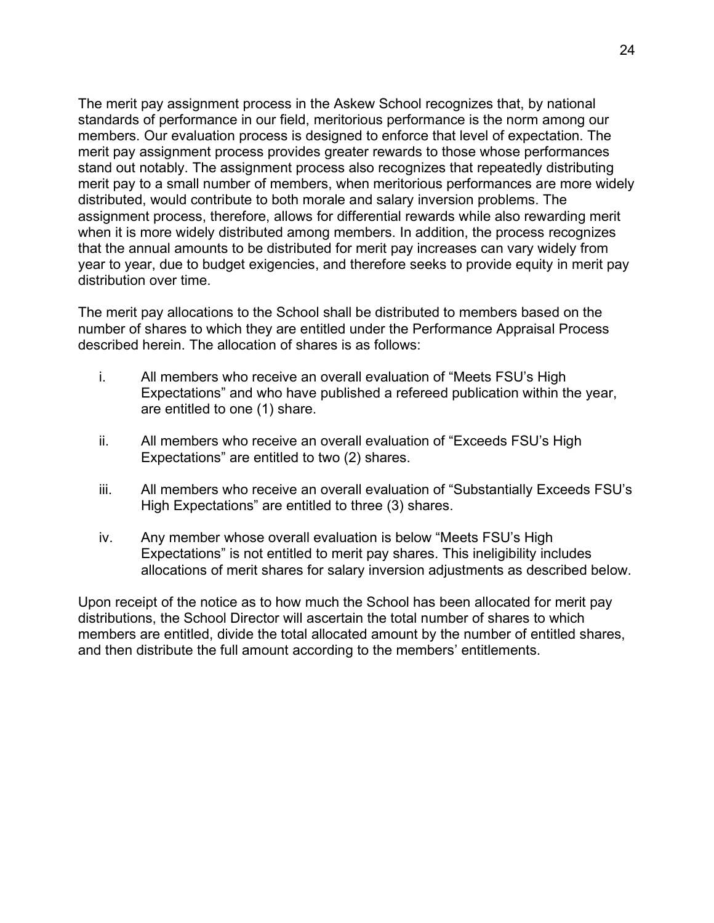The merit pay assignment process in the Askew School recognizes that, by national standards of performance in our field, meritorious performance is the norm among our members. Our evaluation process is designed to enforce that level of expectation. The merit pay assignment process provides greater rewards to those whose performances stand out notably. The assignment process also recognizes that repeatedly distributing merit pay to a small number of members, when meritorious performances are more widely distributed, would contribute to both morale and salary inversion problems. The assignment process, therefore, allows for differential rewards while also rewarding merit when it is more widely distributed among members. In addition, the process recognizes that the annual amounts to be distributed for merit pay increases can vary widely from year to year, due to budget exigencies, and therefore seeks to provide equity in merit pay distribution over time.

The merit pay allocations to the School shall be distributed to members based on the number of shares to which they are entitled under the Performance Appraisal Process described herein. The allocation of shares is as follows:

- i. All members who receive an overall evaluation of "Meets FSU's High Expectations" and who have published a refereed publication within the year, are entitled to one (1) share.
- ii. All members who receive an overall evaluation of "Exceeds FSU's High Expectations" are entitled to two (2) shares.
- iii. All members who receive an overall evaluation of "Substantially Exceeds FSU's High Expectations" are entitled to three (3) shares.
- iv. Any member whose overall evaluation is below "Meets FSU's High Expectations" is not entitled to merit pay shares. This ineligibility includes allocations of merit shares for salary inversion adjustments as described below.

Upon receipt of the notice as to how much the School has been allocated for merit pay distributions, the School Director will ascertain the total number of shares to which members are entitled, divide the total allocated amount by the number of entitled shares, and then distribute the full amount according to the members' entitlements.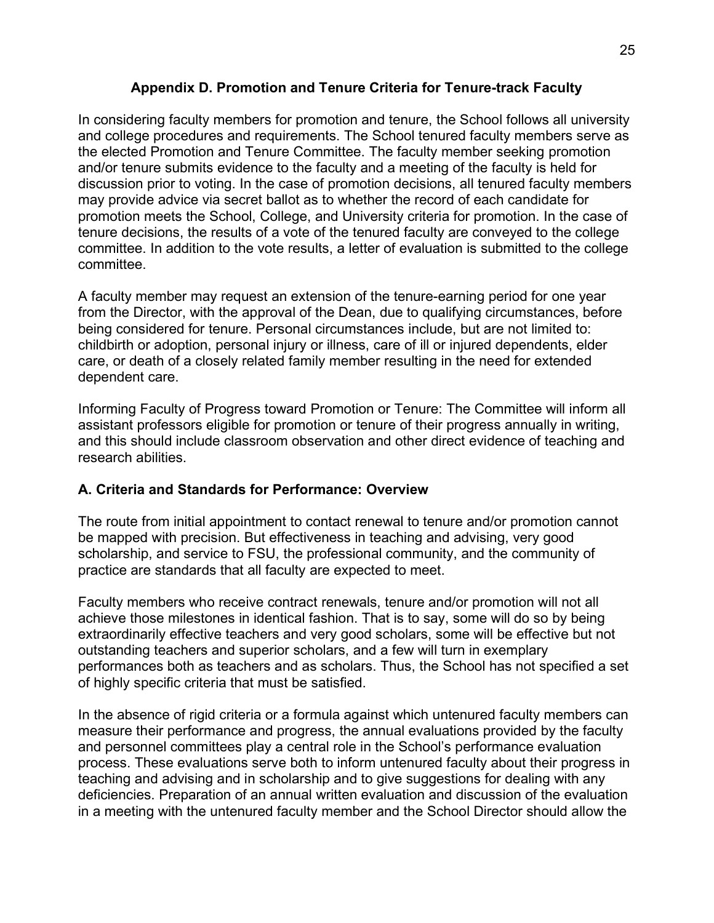### **Appendix D. Promotion and Tenure Criteria for Tenure-track Faculty**

In considering faculty members for promotion and tenure, the School follows all university and college procedures and requirements. The School tenured faculty members serve as the elected Promotion and Tenure Committee. The faculty member seeking promotion and/or tenure submits evidence to the faculty and a meeting of the faculty is held for discussion prior to voting. In the case of promotion decisions, all tenured faculty members may provide advice via secret ballot as to whether the record of each candidate for promotion meets the School, College, and University criteria for promotion. In the case of tenure decisions, the results of a vote of the tenured faculty are conveyed to the college committee. In addition to the vote results, a letter of evaluation is submitted to the college committee.

A faculty member may request an extension of the tenure-earning period for one year from the Director, with the approval of the Dean, due to qualifying circumstances, before being considered for tenure. Personal circumstances include, but are not limited to: childbirth or adoption, personal injury or illness, care of ill or injured dependents, elder care, or death of a closely related family member resulting in the need for extended dependent care.

Informing Faculty of Progress toward Promotion or Tenure: The Committee will inform all assistant professors eligible for promotion or tenure of their progress annually in writing, and this should include classroom observation and other direct evidence of teaching and research abilities.

# **A. Criteria and Standards for Performance: Overview**

The route from initial appointment to contact renewal to tenure and/or promotion cannot be mapped with precision. But effectiveness in teaching and advising, very good scholarship, and service to FSU, the professional community, and the community of practice are standards that all faculty are expected to meet.

Faculty members who receive contract renewals, tenure and/or promotion will not all achieve those milestones in identical fashion. That is to say, some will do so by being extraordinarily effective teachers and very good scholars, some will be effective but not outstanding teachers and superior scholars, and a few will turn in exemplary performances both as teachers and as scholars. Thus, the School has not specified a set of highly specific criteria that must be satisfied.

In the absence of rigid criteria or a formula against which untenured faculty members can measure their performance and progress, the annual evaluations provided by the faculty and personnel committees play a central role in the School's performance evaluation process. These evaluations serve both to inform untenured faculty about their progress in teaching and advising and in scholarship and to give suggestions for dealing with any deficiencies. Preparation of an annual written evaluation and discussion of the evaluation in a meeting with the untenured faculty member and the School Director should allow the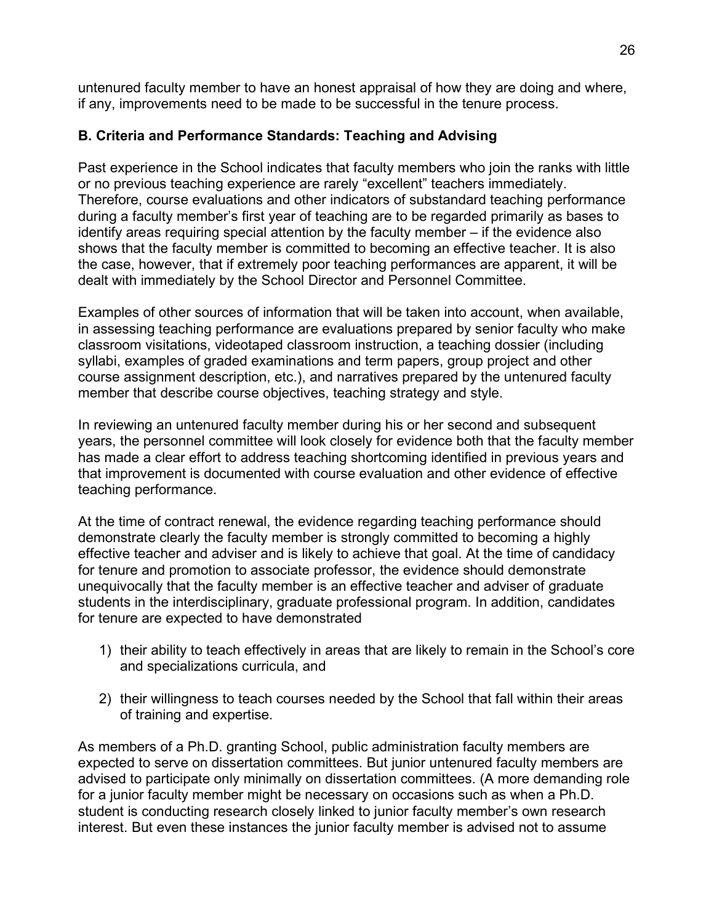untenured faculty member to have an honest appraisal of how they are doing and where, if any, improvements need to be made to be successful in the tenure process.

# **B. Criteria and Performance Standards: Teaching and Advising**

Past experience in the School indicates that faculty members who join the ranks with little or no previous teaching experience are rarely "excellent" teachers immediately. Therefore, course evaluations and other indicators of substandard teaching performance during a faculty member's first year of teaching are to be regarded primarily as bases to identify areas requiring special attention by the faculty member – if the evidence also shows that the faculty member is committed to becoming an effective teacher. It is also the case, however, that if extremely poor teaching performances are apparent, it will be dealt with immediately by the School Director and Personnel Committee.

Examples of other sources of information that will be taken into account, when available, in assessing teaching performance are evaluations prepared by senior faculty who make classroom visitations, videotaped classroom instruction, a teaching dossier (including syllabi, examples of graded examinations and term papers, group project and other course assignment description, etc.), and narratives prepared by the untenured faculty member that describe course objectives, teaching strategy and style.

In reviewing an untenured faculty member during his or her second and subsequent years, the personnel committee will look closely for evidence both that the faculty member has made a clear effort to address teaching shortcoming identified in previous years and that improvement is documented with course evaluation and other evidence of effective teaching performance.

At the time of contract renewal, the evidence regarding teaching performance should demonstrate clearly the faculty member is strongly committed to becoming a highly effective teacher and adviser and is likely to achieve that goal. At the time of candidacy for tenure and promotion to associate professor, the evidence should demonstrate unequivocally that the faculty member is an effective teacher and adviser of graduate students in the interdisciplinary, graduate professional program. In addition, candidates for tenure are expected to have demonstrated

- 1) their ability to teach effectively in areas that are likely to remain in the School's core and specializations curricula, and
- 2) their willingness to teach courses needed by the School that fall within their areas of training and expertise.

As members of a Ph.D. granting School, public administration faculty members are expected to serve on dissertation committees. But junior untenured faculty members are advised to participate only minimally on dissertation committees. (A more demanding role for a junior faculty member might be necessary on occasions such as when a Ph.D. student is conducting research closely linked to junior faculty member's own research interest. But even these instances the junior faculty member is advised not to assume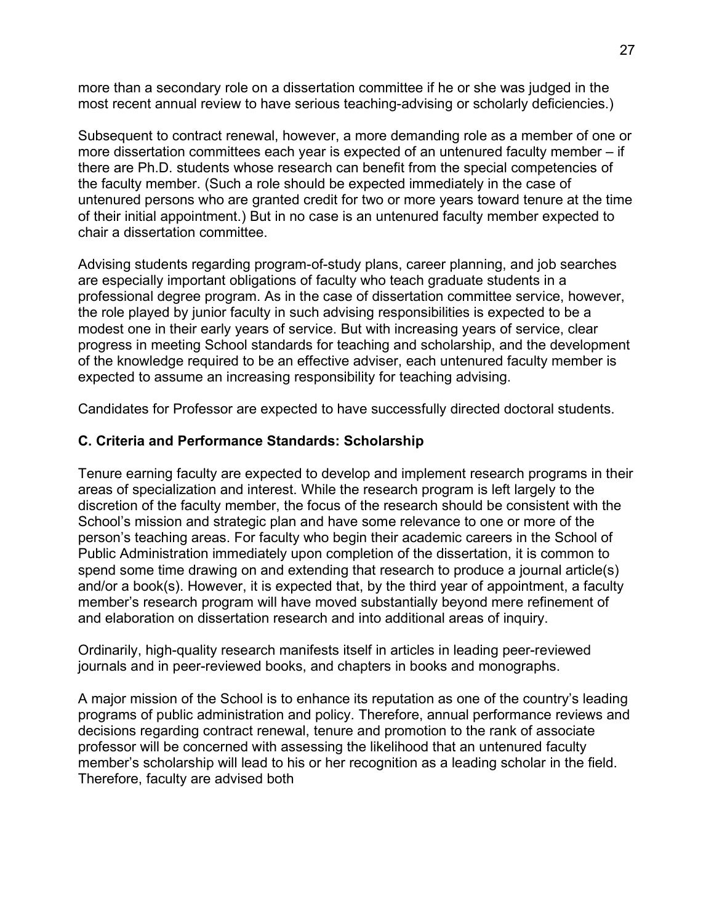more than a secondary role on a dissertation committee if he or she was judged in the most recent annual review to have serious teaching-advising or scholarly deficiencies.)

Subsequent to contract renewal, however, a more demanding role as a member of one or more dissertation committees each year is expected of an untenured faculty member – if there are Ph.D. students whose research can benefit from the special competencies of the faculty member. (Such a role should be expected immediately in the case of untenured persons who are granted credit for two or more years toward tenure at the time of their initial appointment.) But in no case is an untenured faculty member expected to chair a dissertation committee.

Advising students regarding program-of-study plans, career planning, and job searches are especially important obligations of faculty who teach graduate students in a professional degree program. As in the case of dissertation committee service, however, the role played by junior faculty in such advising responsibilities is expected to be a modest one in their early years of service. But with increasing years of service, clear progress in meeting School standards for teaching and scholarship, and the development of the knowledge required to be an effective adviser, each untenured faculty member is expected to assume an increasing responsibility for teaching advising.

Candidates for Professor are expected to have successfully directed doctoral students.

## **C. Criteria and Performance Standards: Scholarship**

Tenure earning faculty are expected to develop and implement research programs in their areas of specialization and interest. While the research program is left largely to the discretion of the faculty member, the focus of the research should be consistent with the School's mission and strategic plan and have some relevance to one or more of the person's teaching areas. For faculty who begin their academic careers in the School of Public Administration immediately upon completion of the dissertation, it is common to spend some time drawing on and extending that research to produce a journal article(s) and/or a book(s). However, it is expected that, by the third year of appointment, a faculty member's research program will have moved substantially beyond mere refinement of and elaboration on dissertation research and into additional areas of inquiry.

Ordinarily, high-quality research manifests itself in articles in leading peer-reviewed journals and in peer-reviewed books, and chapters in books and monographs.

A major mission of the School is to enhance its reputation as one of the country's leading programs of public administration and policy. Therefore, annual performance reviews and decisions regarding contract renewal, tenure and promotion to the rank of associate professor will be concerned with assessing the likelihood that an untenured faculty member's scholarship will lead to his or her recognition as a leading scholar in the field. Therefore, faculty are advised both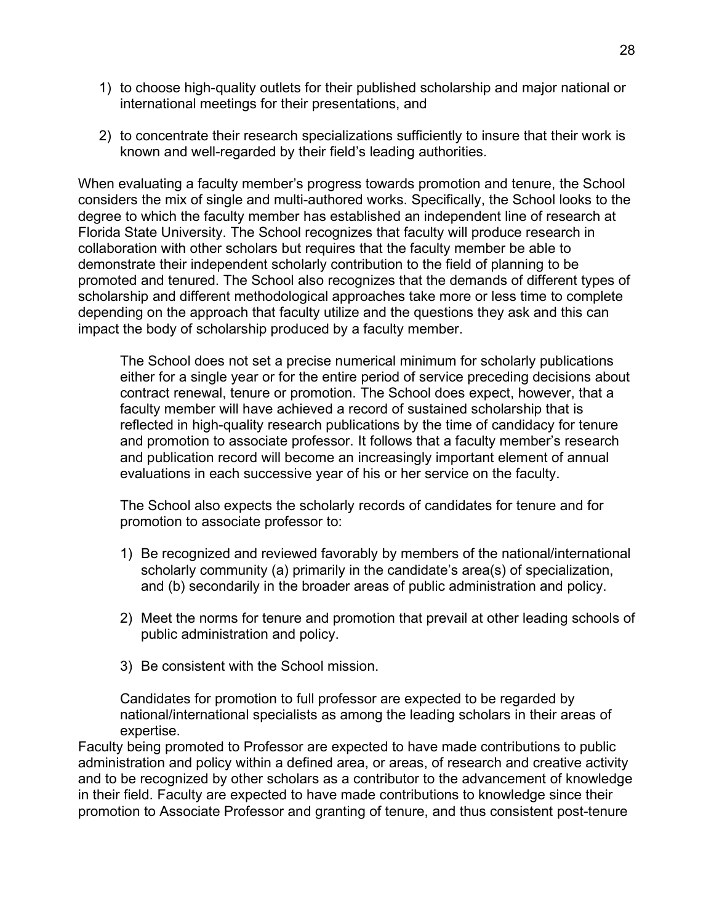- 1) to choose high-quality outlets for their published scholarship and major national or international meetings for their presentations, and
- 2) to concentrate their research specializations sufficiently to insure that their work is known and well-regarded by their field's leading authorities.

When evaluating a faculty member's progress towards promotion and tenure, the School considers the mix of single and multi-authored works. Specifically, the School looks to the degree to which the faculty member has established an independent line of research at Florida State University. The School recognizes that faculty will produce research in collaboration with other scholars but requires that the faculty member be able to demonstrate their independent scholarly contribution to the field of planning to be promoted and tenured. The School also recognizes that the demands of different types of scholarship and different methodological approaches take more or less time to complete depending on the approach that faculty utilize and the questions they ask and this can impact the body of scholarship produced by a faculty member.

The School does not set a precise numerical minimum for scholarly publications either for a single year or for the entire period of service preceding decisions about contract renewal, tenure or promotion. The School does expect, however, that a faculty member will have achieved a record of sustained scholarship that is reflected in high-quality research publications by the time of candidacy for tenure and promotion to associate professor. It follows that a faculty member's research and publication record will become an increasingly important element of annual evaluations in each successive year of his or her service on the faculty.

The School also expects the scholarly records of candidates for tenure and for promotion to associate professor to:

- 1) Be recognized and reviewed favorably by members of the national/international scholarly community (a) primarily in the candidate's area(s) of specialization, and (b) secondarily in the broader areas of public administration and policy.
- 2) Meet the norms for tenure and promotion that prevail at other leading schools of public administration and policy.
- 3) Be consistent with the School mission.

Candidates for promotion to full professor are expected to be regarded by national/international specialists as among the leading scholars in their areas of expertise.

Faculty being promoted to Professor are expected to have made contributions to public administration and policy within a defined area, or areas, of research and creative activity and to be recognized by other scholars as a contributor to the advancement of knowledge in their field. Faculty are expected to have made contributions to knowledge since their promotion to Associate Professor and granting of tenure, and thus consistent post-tenure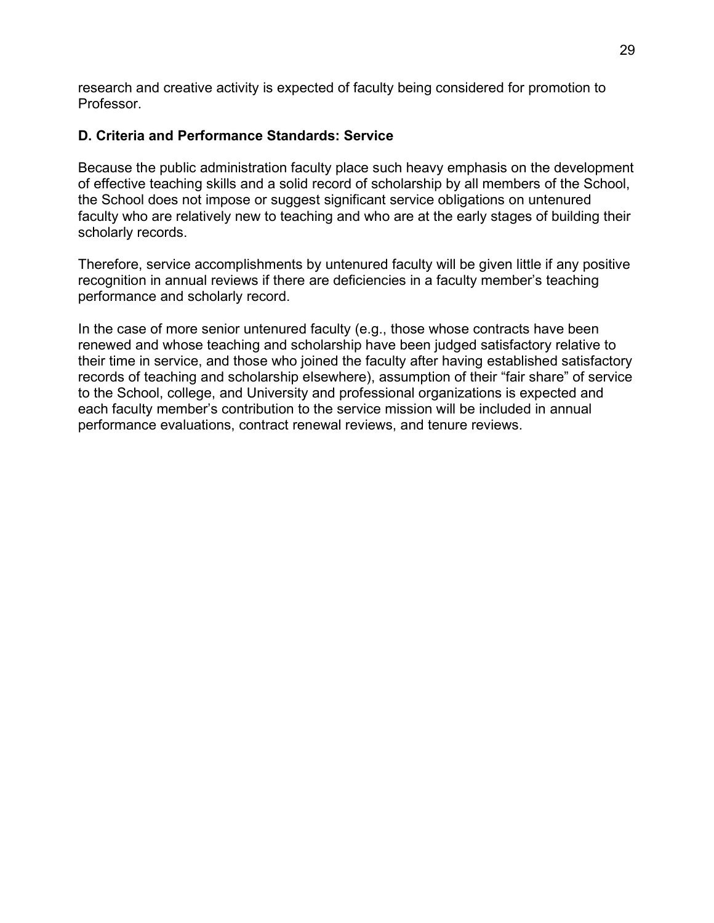research and creative activity is expected of faculty being considered for promotion to Professor.

## **D. Criteria and Performance Standards: Service**

Because the public administration faculty place such heavy emphasis on the development of effective teaching skills and a solid record of scholarship by all members of the School, the School does not impose or suggest significant service obligations on untenured faculty who are relatively new to teaching and who are at the early stages of building their scholarly records.

Therefore, service accomplishments by untenured faculty will be given little if any positive recognition in annual reviews if there are deficiencies in a faculty member's teaching performance and scholarly record.

In the case of more senior untenured faculty (e.g., those whose contracts have been renewed and whose teaching and scholarship have been judged satisfactory relative to their time in service, and those who joined the faculty after having established satisfactory records of teaching and scholarship elsewhere), assumption of their "fair share" of service to the School, college, and University and professional organizations is expected and each faculty member's contribution to the service mission will be included in annual performance evaluations, contract renewal reviews, and tenure reviews.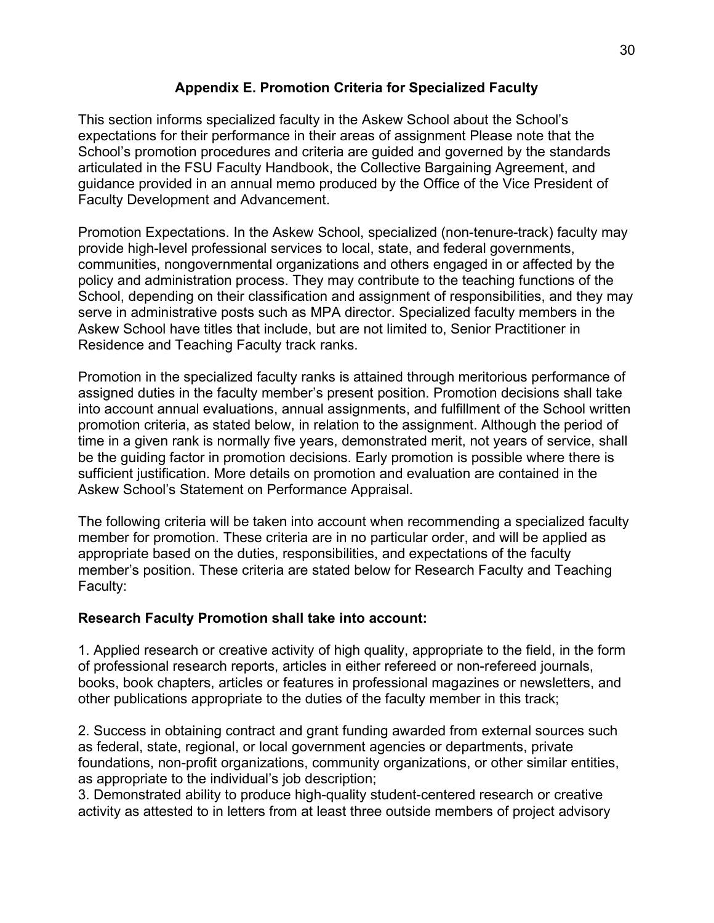## **Appendix E. Promotion Criteria for Specialized Faculty**

This section informs specialized faculty in the Askew School about the School's expectations for their performance in their areas of assignment Please note that the School's promotion procedures and criteria are guided and governed by the standards articulated in the FSU Faculty Handbook, the Collective Bargaining Agreement, and guidance provided in an annual memo produced by the Office of the Vice President of Faculty Development and Advancement.

Promotion Expectations. In the Askew School, specialized (non-tenure-track) faculty may provide high-level professional services to local, state, and federal governments, communities, nongovernmental organizations and others engaged in or affected by the policy and administration process. They may contribute to the teaching functions of the School, depending on their classification and assignment of responsibilities, and they may serve in administrative posts such as MPA director. Specialized faculty members in the Askew School have titles that include, but are not limited to, Senior Practitioner in Residence and Teaching Faculty track ranks.

Promotion in the specialized faculty ranks is attained through meritorious performance of assigned duties in the faculty member's present position. Promotion decisions shall take into account annual evaluations, annual assignments, and fulfillment of the School written promotion criteria, as stated below, in relation to the assignment. Although the period of time in a given rank is normally five years, demonstrated merit, not years of service, shall be the guiding factor in promotion decisions. Early promotion is possible where there is sufficient justification. More details on promotion and evaluation are contained in the Askew School's Statement on Performance Appraisal.

The following criteria will be taken into account when recommending a specialized faculty member for promotion. These criteria are in no particular order, and will be applied as appropriate based on the duties, responsibilities, and expectations of the faculty member's position. These criteria are stated below for Research Faculty and Teaching Faculty:

#### **Research Faculty Promotion shall take into account:**

1. Applied research or creative activity of high quality, appropriate to the field, in the form of professional research reports, articles in either refereed or non-refereed journals, books, book chapters, articles or features in professional magazines or newsletters, and other publications appropriate to the duties of the faculty member in this track;

2. Success in obtaining contract and grant funding awarded from external sources such as federal, state, regional, or local government agencies or departments, private foundations, non-profit organizations, community organizations, or other similar entities, as appropriate to the individual's job description;

3. Demonstrated ability to produce high-quality student-centered research or creative activity as attested to in letters from at least three outside members of project advisory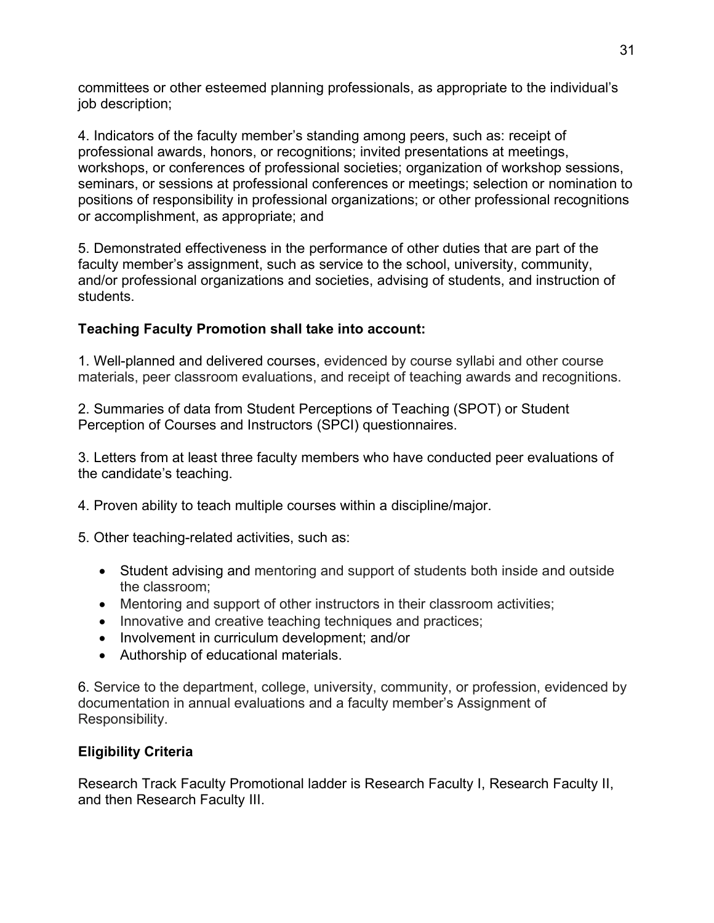committees or other esteemed planning professionals, as appropriate to the individual's job description;

4. Indicators of the faculty member's standing among peers, such as: receipt of professional awards, honors, or recognitions; invited presentations at meetings, workshops, or conferences of professional societies; organization of workshop sessions, seminars, or sessions at professional conferences or meetings; selection or nomination to positions of responsibility in professional organizations; or other professional recognitions or accomplishment, as appropriate; and

5. Demonstrated effectiveness in the performance of other duties that are part of the faculty member's assignment, such as service to the school, university, community, and/or professional organizations and societies, advising of students, and instruction of students.

# **Teaching Faculty Promotion shall take into account:**

1. Well-planned and delivered courses, evidenced by course syllabi and other course materials, peer classroom evaluations, and receipt of teaching awards and recognitions.

2. Summaries of data from Student Perceptions of Teaching (SPOT) or Student Perception of Courses and Instructors (SPCI) questionnaires.

3. Letters from at least three faculty members who have conducted peer evaluations of the candidate's teaching.

4. Proven ability to teach multiple courses within a discipline/major.

5. Other teaching-related activities, such as:

- Student advising and mentoring and support of students both inside and outside the classroom;
- Mentoring and support of other instructors in their classroom activities;
- Innovative and creative teaching techniques and practices;
- Involvement in curriculum development; and/or
- Authorship of educational materials.

6. Service to the department, college, university, community, or profession, evidenced by documentation in annual evaluations and a faculty member's Assignment of Responsibility.

# **Eligibility Criteria**

Research Track Faculty Promotional ladder is Research Faculty I, Research Faculty II, and then Research Faculty III.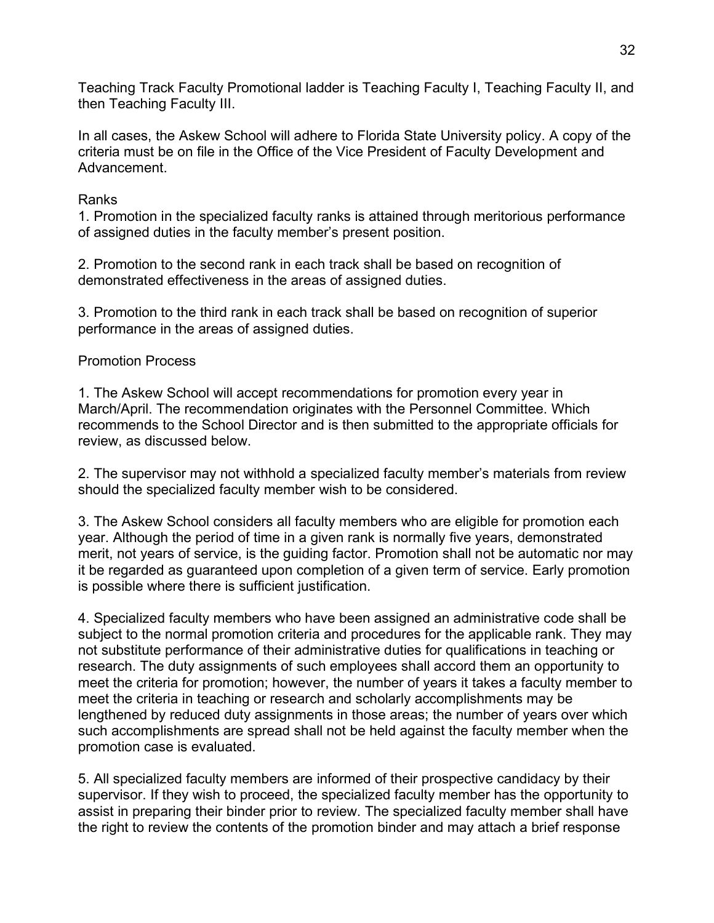Teaching Track Faculty Promotional ladder is Teaching Faculty I, Teaching Faculty II, and then Teaching Faculty III.

In all cases, the Askew School will adhere to Florida State University policy. A copy of the criteria must be on file in the Office of the Vice President of Faculty Development and Advancement.

### Ranks

1. Promotion in the specialized faculty ranks is attained through meritorious performance of assigned duties in the faculty member's present position.

2. Promotion to the second rank in each track shall be based on recognition of demonstrated effectiveness in the areas of assigned duties.

3. Promotion to the third rank in each track shall be based on recognition of superior performance in the areas of assigned duties.

## Promotion Process

1. The Askew School will accept recommendations for promotion every year in March/April. The recommendation originates with the Personnel Committee. Which recommends to the School Director and is then submitted to the appropriate officials for review, as discussed below.

2. The supervisor may not withhold a specialized faculty member's materials from review should the specialized faculty member wish to be considered.

3. The Askew School considers all faculty members who are eligible for promotion each year. Although the period of time in a given rank is normally five years, demonstrated merit, not years of service, is the guiding factor. Promotion shall not be automatic nor may it be regarded as guaranteed upon completion of a given term of service. Early promotion is possible where there is sufficient justification.

4. Specialized faculty members who have been assigned an administrative code shall be subject to the normal promotion criteria and procedures for the applicable rank. They may not substitute performance of their administrative duties for qualifications in teaching or research. The duty assignments of such employees shall accord them an opportunity to meet the criteria for promotion; however, the number of years it takes a faculty member to meet the criteria in teaching or research and scholarly accomplishments may be lengthened by reduced duty assignments in those areas; the number of years over which such accomplishments are spread shall not be held against the faculty member when the promotion case is evaluated.

5. All specialized faculty members are informed of their prospective candidacy by their supervisor. If they wish to proceed, the specialized faculty member has the opportunity to assist in preparing their binder prior to review. The specialized faculty member shall have the right to review the contents of the promotion binder and may attach a brief response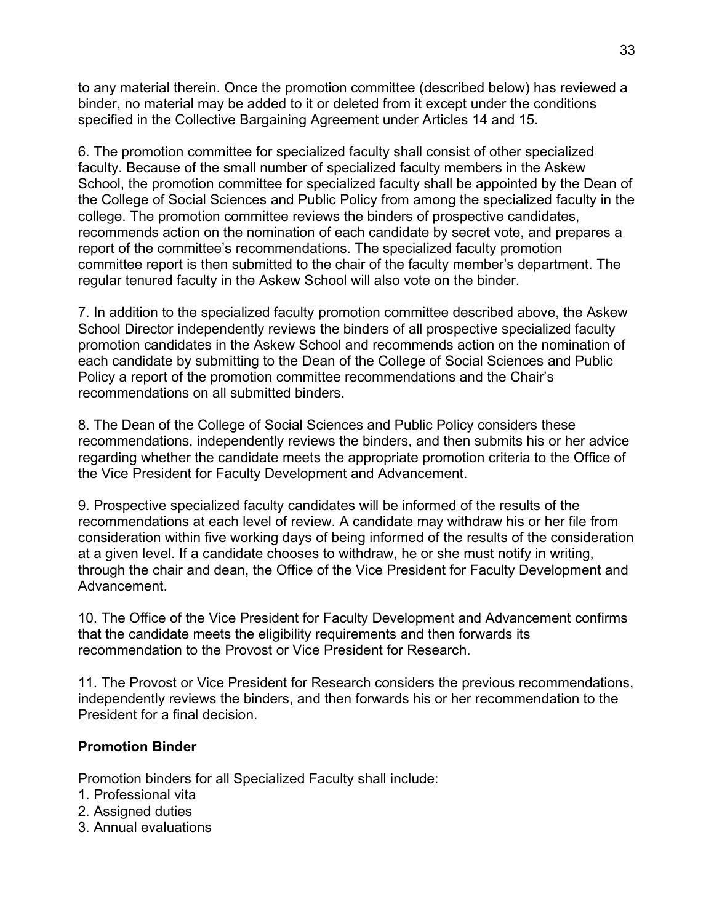to any material therein. Once the promotion committee (described below) has reviewed a binder, no material may be added to it or deleted from it except under the conditions specified in the Collective Bargaining Agreement under Articles 14 and 15.

6. The promotion committee for specialized faculty shall consist of other specialized faculty. Because of the small number of specialized faculty members in the Askew School, the promotion committee for specialized faculty shall be appointed by the Dean of the College of Social Sciences and Public Policy from among the specialized faculty in the college. The promotion committee reviews the binders of prospective candidates, recommends action on the nomination of each candidate by secret vote, and prepares a report of the committee's recommendations. The specialized faculty promotion committee report is then submitted to the chair of the faculty member's department. The regular tenured faculty in the Askew School will also vote on the binder.

7. In addition to the specialized faculty promotion committee described above, the Askew School Director independently reviews the binders of all prospective specialized faculty promotion candidates in the Askew School and recommends action on the nomination of each candidate by submitting to the Dean of the College of Social Sciences and Public Policy a report of the promotion committee recommendations and the Chair's recommendations on all submitted binders.

8. The Dean of the College of Social Sciences and Public Policy considers these recommendations, independently reviews the binders, and then submits his or her advice regarding whether the candidate meets the appropriate promotion criteria to the Office of the Vice President for Faculty Development and Advancement.

9. Prospective specialized faculty candidates will be informed of the results of the recommendations at each level of review. A candidate may withdraw his or her file from consideration within five working days of being informed of the results of the consideration at a given level. If a candidate chooses to withdraw, he or she must notify in writing, through the chair and dean, the Office of the Vice President for Faculty Development and Advancement.

10. The Office of the Vice President for Faculty Development and Advancement confirms that the candidate meets the eligibility requirements and then forwards its recommendation to the Provost or Vice President for Research.

11. The Provost or Vice President for Research considers the previous recommendations, independently reviews the binders, and then forwards his or her recommendation to the President for a final decision.

#### **Promotion Binder**

Promotion binders for all Specialized Faculty shall include:

- 1. Professional vita
- 2. Assigned duties
- 3. Annual evaluations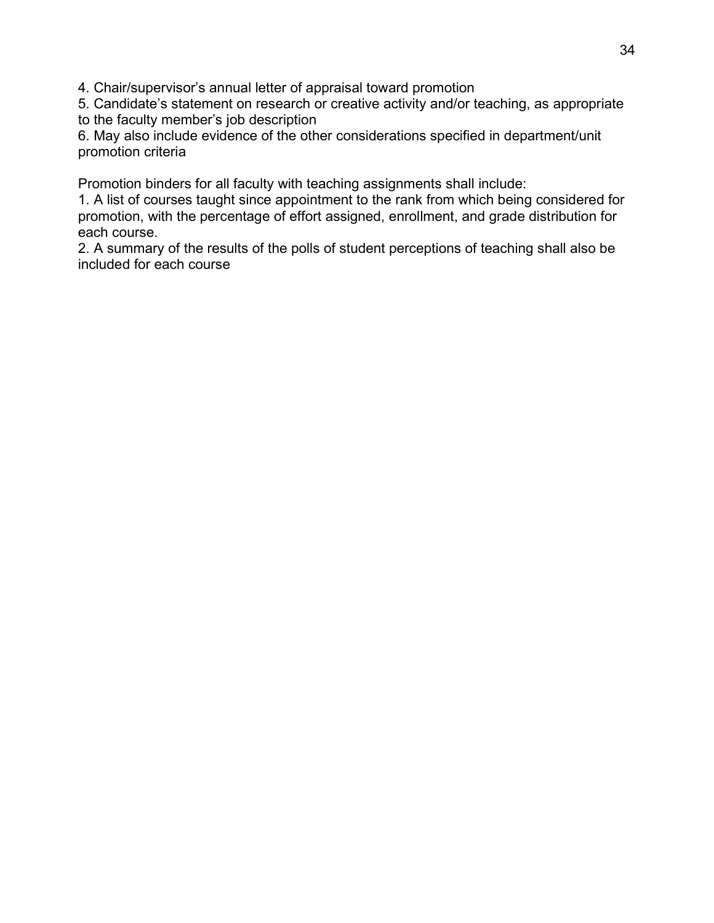4. Chair/supervisor's annual letter of appraisal toward promotion

5. Candidate's statement on research or creative activity and/or teaching, as appropriate to the faculty member's job description

6. May also include evidence of the other considerations specified in department/unit promotion criteria

Promotion binders for all faculty with teaching assignments shall include:

1. A list of courses taught since appointment to the rank from which being considered for promotion, with the percentage of effort assigned, enrollment, and grade distribution for each course.

2. A summary of the results of the polls of student perceptions of teaching shall also be included for each course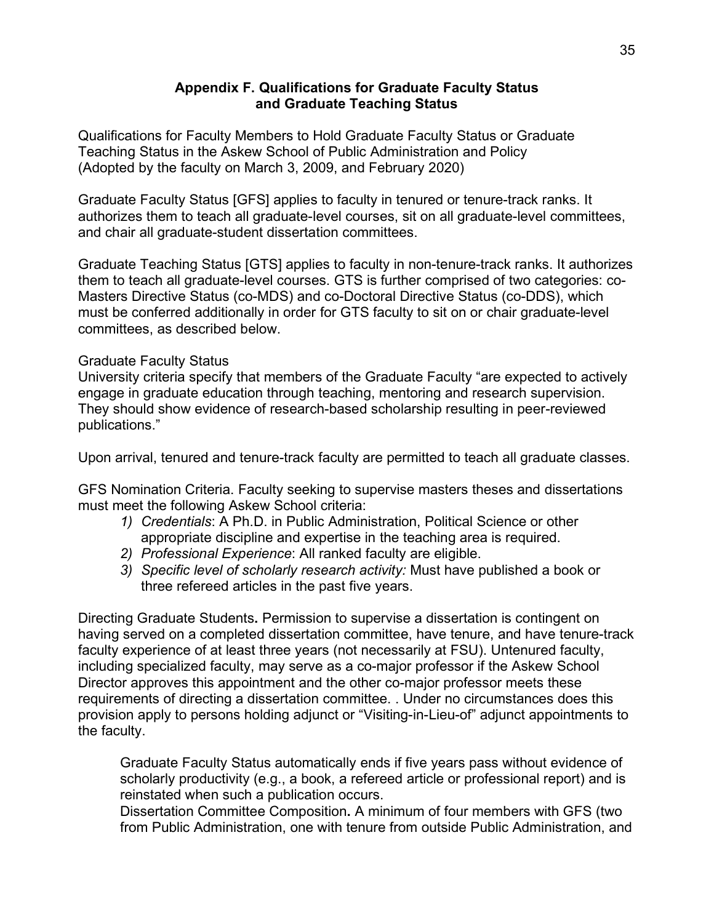#### **Appendix F. Qualifications for Graduate Faculty Status and Graduate Teaching Status**

Qualifications for Faculty Members to Hold Graduate Faculty Status or Graduate Teaching Status in the Askew School of Public Administration and Policy (Adopted by the faculty on March 3, 2009, and February 2020)

Graduate Faculty Status [GFS] applies to faculty in tenured or tenure-track ranks. It authorizes them to teach all graduate-level courses, sit on all graduate-level committees, and chair all graduate-student dissertation committees.

Graduate Teaching Status [GTS] applies to faculty in non-tenure-track ranks. It authorizes them to teach all graduate-level courses. GTS is further comprised of two categories: co-Masters Directive Status (co-MDS) and co-Doctoral Directive Status (co-DDS), which must be conferred additionally in order for GTS faculty to sit on or chair graduate-level committees, as described below.

#### Graduate Faculty Status

University criteria specify that members of the Graduate Faculty "are expected to actively engage in graduate education through teaching, mentoring and research supervision. They should show evidence of research-based scholarship resulting in peer-reviewed publications."

Upon arrival, tenured and tenure-track faculty are permitted to teach all graduate classes.

GFS Nomination Criteria. Faculty seeking to supervise masters theses and dissertations must meet the following Askew School criteria:

- *1) Credentials*: A Ph.D. in Public Administration, Political Science or other appropriate discipline and expertise in the teaching area is required.
- *2) Professional Experience*: All ranked faculty are eligible.
- *3) Specific level of scholarly research activity:* Must have published a book or three refereed articles in the past five years.

Directing Graduate Students**.** Permission to supervise a dissertation is contingent on having served on a completed dissertation committee, have tenure, and have tenure-track faculty experience of at least three years (not necessarily at FSU). Untenured faculty, including specialized faculty, may serve as a co-major professor if the Askew School Director approves this appointment and the other co-major professor meets these requirements of directing a dissertation committee. . Under no circumstances does this provision apply to persons holding adjunct or "Visiting-in-Lieu-of" adjunct appointments to the faculty.

Graduate Faculty Status automatically ends if five years pass without evidence of scholarly productivity (e.g., a book, a refereed article or professional report) and is reinstated when such a publication occurs.

Dissertation Committee Composition**.** A minimum of four members with GFS (two from Public Administration, one with tenure from outside Public Administration, and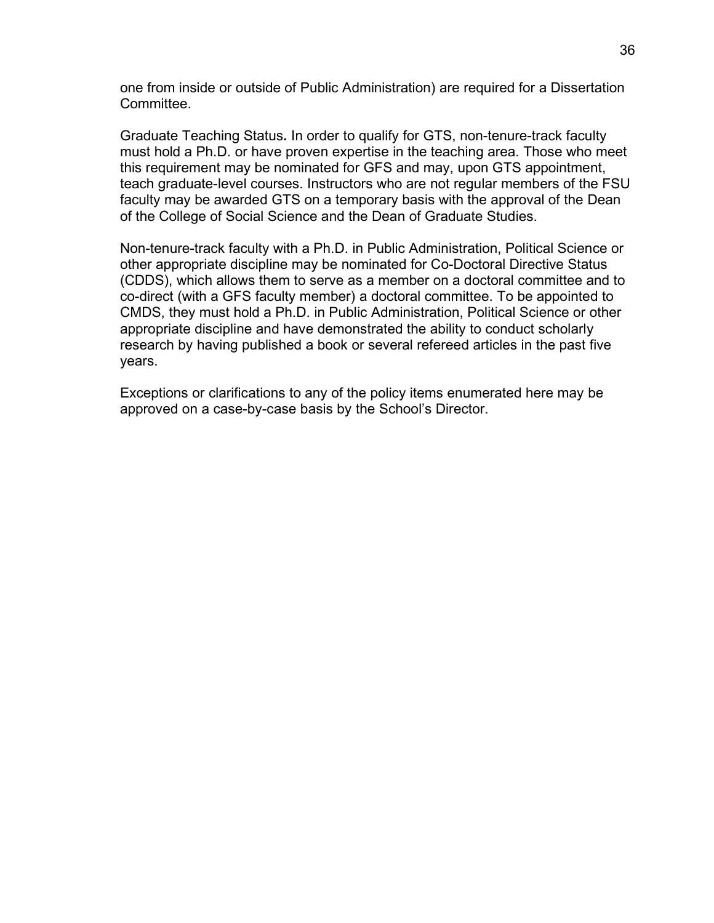one from inside or outside of Public Administration) are required for a Dissertation Committee.

Graduate Teaching Status**.** In order to qualify for GTS, non-tenure-track faculty must hold a Ph.D. or have proven expertise in the teaching area. Those who meet this requirement may be nominated for GFS and may, upon GTS appointment, teach graduate-level courses. Instructors who are not regular members of the FSU faculty may be awarded GTS on a temporary basis with the approval of the Dean of the College of Social Science and the Dean of Graduate Studies.

Non-tenure-track faculty with a Ph.D. in Public Administration, Political Science or other appropriate discipline may be nominated for Co-Doctoral Directive Status (CDDS), which allows them to serve as a member on a doctoral committee and to co-direct (with a GFS faculty member) a doctoral committee. To be appointed to CMDS, they must hold a Ph.D. in Public Administration, Political Science or other appropriate discipline and have demonstrated the ability to conduct scholarly research by having published a book or several refereed articles in the past five years.

Exceptions or clarifications to any of the policy items enumerated here may be approved on a case-by-case basis by the School's Director.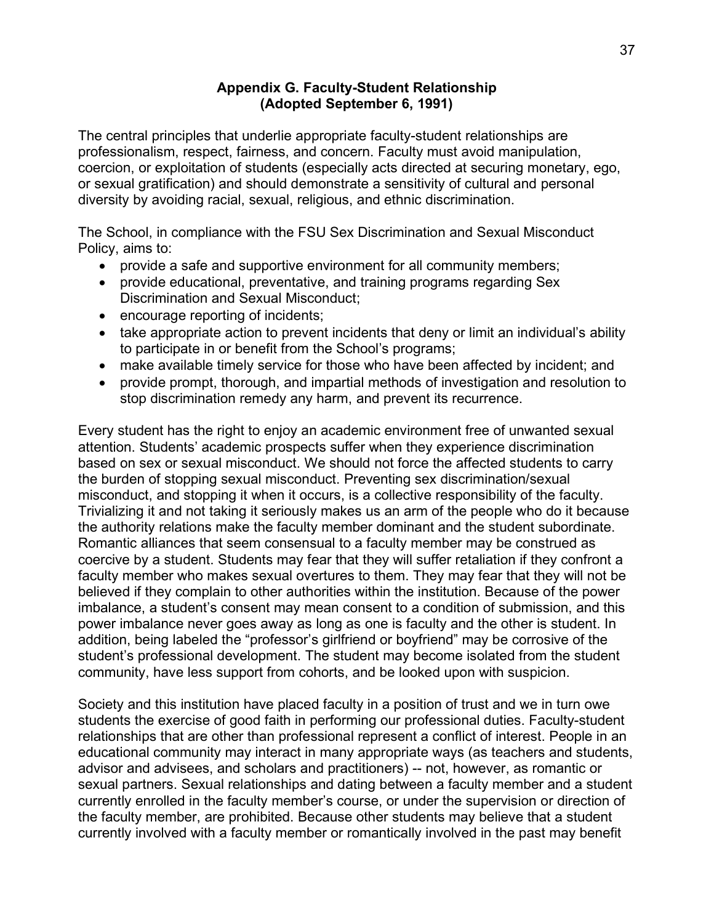#### **Appendix G. Faculty-Student Relationship (Adopted September 6, 1991)**

The central principles that underlie appropriate faculty-student relationships are professionalism, respect, fairness, and concern. Faculty must avoid manipulation, coercion, or exploitation of students (especially acts directed at securing monetary, ego, or sexual gratification) and should demonstrate a sensitivity of cultural and personal diversity by avoiding racial, sexual, religious, and ethnic discrimination.

The School, in compliance with the FSU Sex Discrimination and Sexual Misconduct Policy, aims to:

- provide a safe and supportive environment for all community members;
- provide educational, preventative, and training programs regarding Sex Discrimination and Sexual Misconduct;
- encourage reporting of incidents;
- take appropriate action to prevent incidents that deny or limit an individual's ability to participate in or benefit from the School's programs;
- make available timely service for those who have been affected by incident; and
- provide prompt, thorough, and impartial methods of investigation and resolution to stop discrimination remedy any harm, and prevent its recurrence.

Every student has the right to enjoy an academic environment free of unwanted sexual attention. Students' academic prospects suffer when they experience discrimination based on sex or sexual misconduct. We should not force the affected students to carry the burden of stopping sexual misconduct. Preventing sex discrimination/sexual misconduct, and stopping it when it occurs, is a collective responsibility of the faculty. Trivializing it and not taking it seriously makes us an arm of the people who do it because the authority relations make the faculty member dominant and the student subordinate. Romantic alliances that seem consensual to a faculty member may be construed as coercive by a student. Students may fear that they will suffer retaliation if they confront a faculty member who makes sexual overtures to them. They may fear that they will not be believed if they complain to other authorities within the institution. Because of the power imbalance, a student's consent may mean consent to a condition of submission, and this power imbalance never goes away as long as one is faculty and the other is student. In addition, being labeled the "professor's girlfriend or boyfriend" may be corrosive of the student's professional development. The student may become isolated from the student community, have less support from cohorts, and be looked upon with suspicion.

Society and this institution have placed faculty in a position of trust and we in turn owe students the exercise of good faith in performing our professional duties. Faculty-student relationships that are other than professional represent a conflict of interest. People in an educational community may interact in many appropriate ways (as teachers and students, advisor and advisees, and scholars and practitioners) -- not, however, as romantic or sexual partners. Sexual relationships and dating between a faculty member and a student currently enrolled in the faculty member's course, or under the supervision or direction of the faculty member, are prohibited. Because other students may believe that a student currently involved with a faculty member or romantically involved in the past may benefit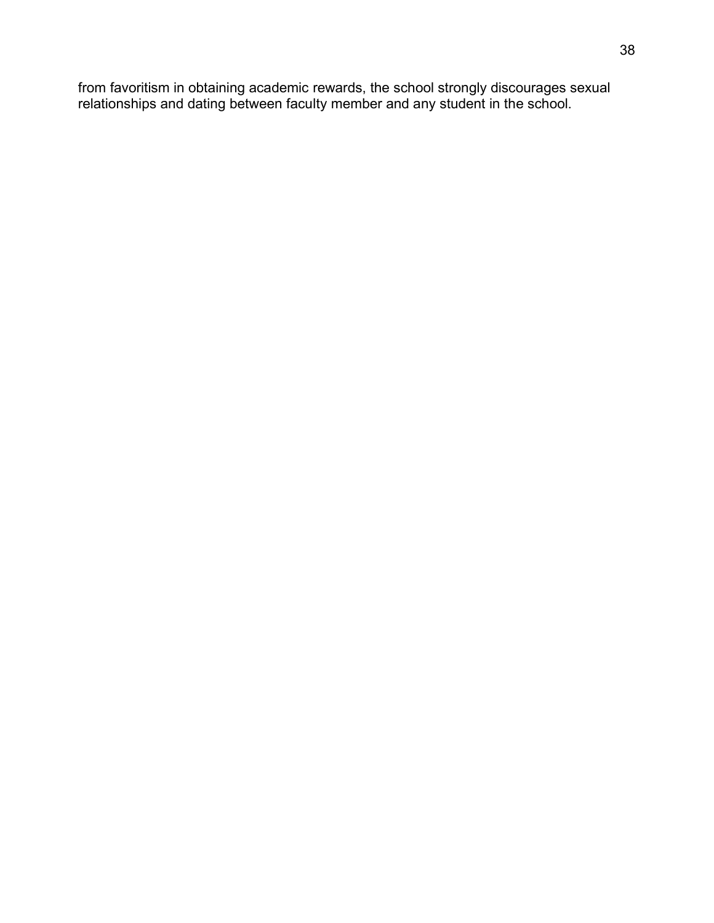from favoritism in obtaining academic rewards, the school strongly discourages sexual relationships and dating between faculty member and any student in the school.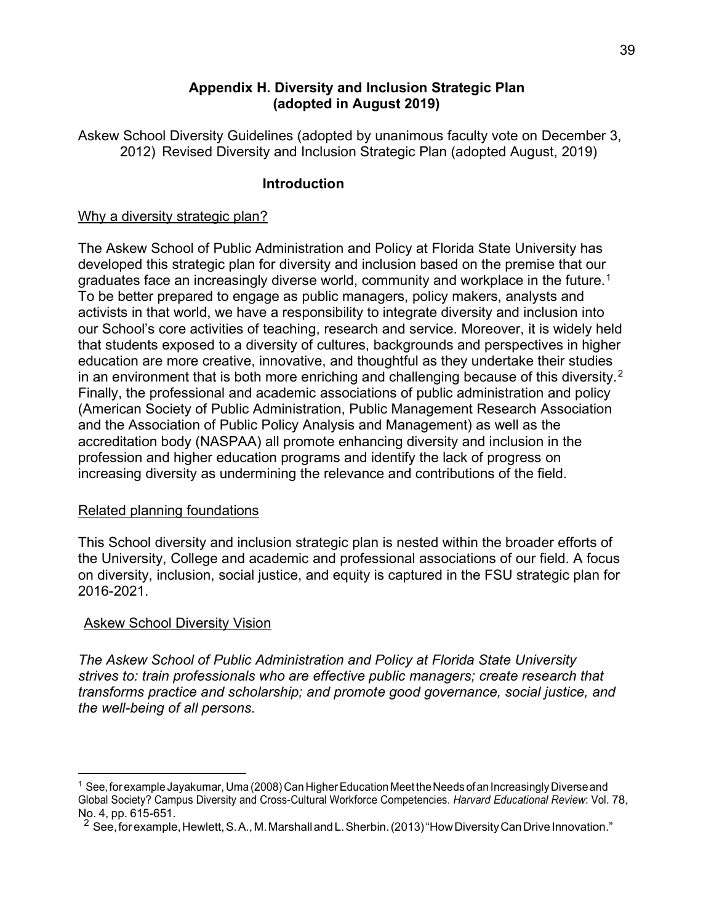#### **Appendix H. Diversity and Inclusion Strategic Plan (adopted in August 2019)**

Askew School Diversity Guidelines (adopted by unanimous faculty vote on December 3, 2012) Revised Diversity and Inclusion Strategic Plan (adopted August, 2019)

### **Introduction**

#### Why a diversity strategic plan?

The Askew School of Public Administration and Policy at Florida State University has developed this strategic plan for diversity and inclusion based on the premise that our graduates face an increasingly diverse world, community and workplace in the future.<sup>[1](#page-38-0)</sup> To be better prepared to engage as public managers, policy makers, analysts and activists in that world, we have a responsibility to integrate diversity and inclusion into our School's core activities of teaching, research and service. Moreover, it is widely held that students exposed to a diversity of cultures, backgrounds and perspectives in higher education are more creative, innovative, and thoughtful as they undertake their studies in an environment that is both more enriching and challenging because of this diversity.<sup>[2](#page-38-1)</sup> Finally, the professional and academic associations of public administration and policy (American Society of Public Administration, Public Management Research Association and the Association of Public Policy Analysis and Management) as well as the accreditation body (NASPAA) all promote enhancing diversity and inclusion in the profession and higher education programs and identify the lack of progress on increasing diversity as undermining the relevance and contributions of the field.

#### Related planning foundations

This School diversity and inclusion strategic plan is nested within the broader efforts of the University, College and academic and professional associations of our field. A focus on diversity, inclusion, social justice, and equity is captured in the FSU strategic plan for 2016-2021.

# Askew School Diversity Vision

*The Askew School of Public Administration and Policy at Florida State University strives to: train professionals who are effective public managers; create research that transforms practice and scholarship; and promote good governance, social justice, and the well-being of all persons.* 

<span id="page-38-0"></span> $^1$  See, for example Jayakumar, Uma (2008) Can Higher Education Meet the Needs of an Increasingly Diverse and Global Society? Campus Diversity and Cross-Cultural Workforce Competencies. *Harvard Educational Review*: Vol. 78, No. 4, pp. 615-651.

<span id="page-38-1"></span> $2$  See, for example, Hewlett, S.A., M. Marshall and L. Sherbin. (2013) "How Diversity Can Drive Innovation."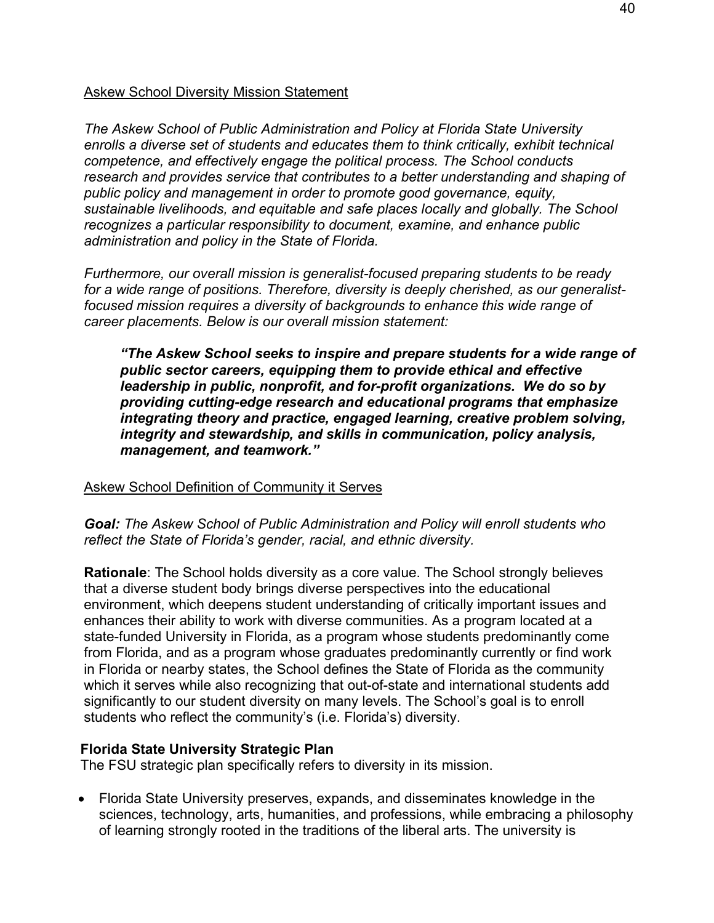#### Askew School Diversity Mission Statement

*The Askew School of Public Administration and Policy at Florida State University enrolls a diverse set of students and educates them to think critically, exhibit technical competence, and effectively engage the political process. The School conducts research and provides service that contributes to a better understanding and shaping of public policy and management in order to promote good governance, equity, sustainable livelihoods, and equitable and safe places locally and globally. The School recognizes a particular responsibility to document, examine, and enhance public administration and policy in the State of Florida.*

*Furthermore, our overall mission is generalist-focused preparing students to be ready for a wide range of positions. Therefore, diversity is deeply cherished, as our generalistfocused mission requires a diversity of backgrounds to enhance this wide range of career placements. Below is our overall mission statement:*

*"The Askew School seeks to inspire and prepare students for a wide range of public sector careers, equipping them to provide ethical and effective leadership in public, nonprofit, and for-profit organizations. We do so by providing cutting-edge research and educational programs that emphasize integrating theory and practice, engaged learning, creative problem solving, integrity and stewardship, and skills in communication, policy analysis, management, and teamwork."*

#### Askew School Definition of Community it Serves

*Goal: The Askew School of Public Administration and Policy will enroll students who reflect the State of Florida's gender, racial, and ethnic diversity.*

**Rationale**: The School holds diversity as a core value. The School strongly believes that a diverse student body brings diverse perspectives into the educational environment, which deepens student understanding of critically important issues and enhances their ability to work with diverse communities. As a program located at a state-funded University in Florida, as a program whose students predominantly come from Florida, and as a program whose graduates predominantly currently or find work in Florida or nearby states, the School defines the State of Florida as the community which it serves while also recognizing that out-of-state and international students add significantly to our student diversity on many levels. The School's goal is to enroll students who reflect the community's (i.e. Florida's) diversity.

#### **Florida State University Strategic Plan**

The FSU strategic plan specifically refers to diversity in its mission.

• Florida State University preserves, expands, and disseminates knowledge in the sciences, technology, arts, humanities, and professions, while embracing a philosophy of learning strongly rooted in the traditions of the liberal arts. The university is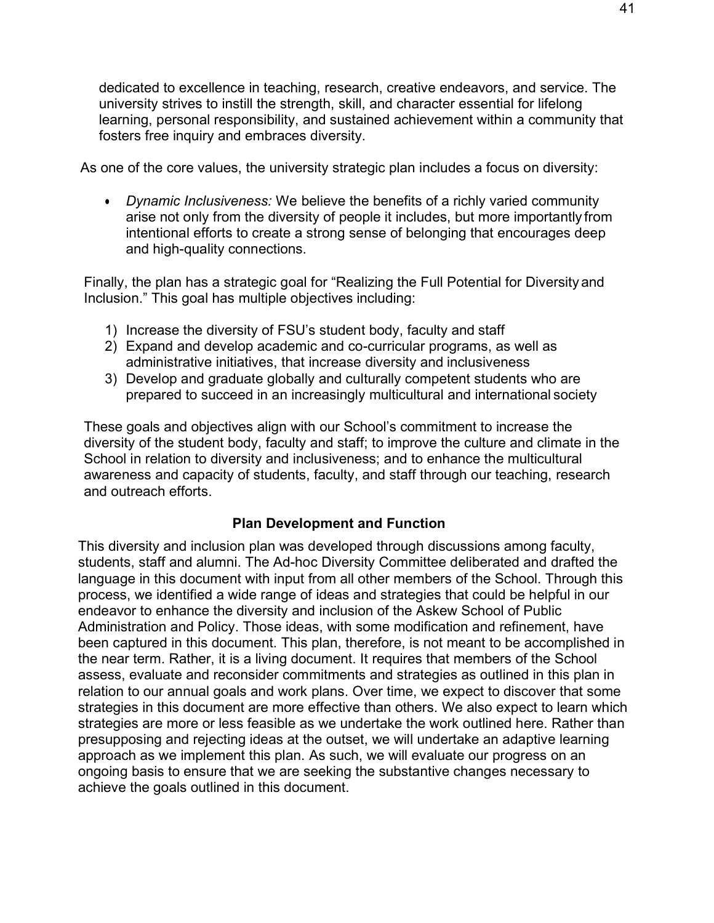dedicated to excellence in teaching, research, creative endeavors, and service. The university strives to instill the strength, skill, and character essential for lifelong learning, personal responsibility, and sustained achievement within a community that fosters free inquiry and embraces diversity.

As one of the core values, the university strategic plan includes a focus on diversity:

• *Dynamic Inclusiveness:* We believe the benefits of a richly varied community arise not only from the diversity of people it includes, but more importantly from intentional efforts to create a strong sense of belonging that encourages deep and high-quality connections.

Finally, the plan has a strategic goal for "Realizing the Full Potential for Diversity and Inclusion." This goal has multiple objectives including:

- 1) Increase the diversity of FSU's student body, faculty and staff
- 2) Expand and develop academic and co-curricular programs, as well as administrative initiatives, that increase diversity and inclusiveness
- 3) Develop and graduate globally and culturally competent students who are prepared to succeed in an increasingly multicultural and international society

These goals and objectives align with our School's commitment to increase the diversity of the student body, faculty and staff; to improve the culture and climate in the School in relation to diversity and inclusiveness; and to enhance the multicultural awareness and capacity of students, faculty, and staff through our teaching, research and outreach efforts.

# **Plan Development and Function**

This diversity and inclusion plan was developed through discussions among faculty, students, staff and alumni. The Ad-hoc Diversity Committee deliberated and drafted the language in this document with input from all other members of the School. Through this process, we identified a wide range of ideas and strategies that could be helpful in our endeavor to enhance the diversity and inclusion of the Askew School of Public Administration and Policy. Those ideas, with some modification and refinement, have been captured in this document. This plan, therefore, is not meant to be accomplished in the near term. Rather, it is a living document. It requires that members of the School assess, evaluate and reconsider commitments and strategies as outlined in this plan in relation to our annual goals and work plans. Over time, we expect to discover that some strategies in this document are more effective than others. We also expect to learn which strategies are more or less feasible as we undertake the work outlined here. Rather than presupposing and rejecting ideas at the outset, we will undertake an adaptive learning approach as we implement this plan. As such, we will evaluate our progress on an ongoing basis to ensure that we are seeking the substantive changes necessary to achieve the goals outlined in this document.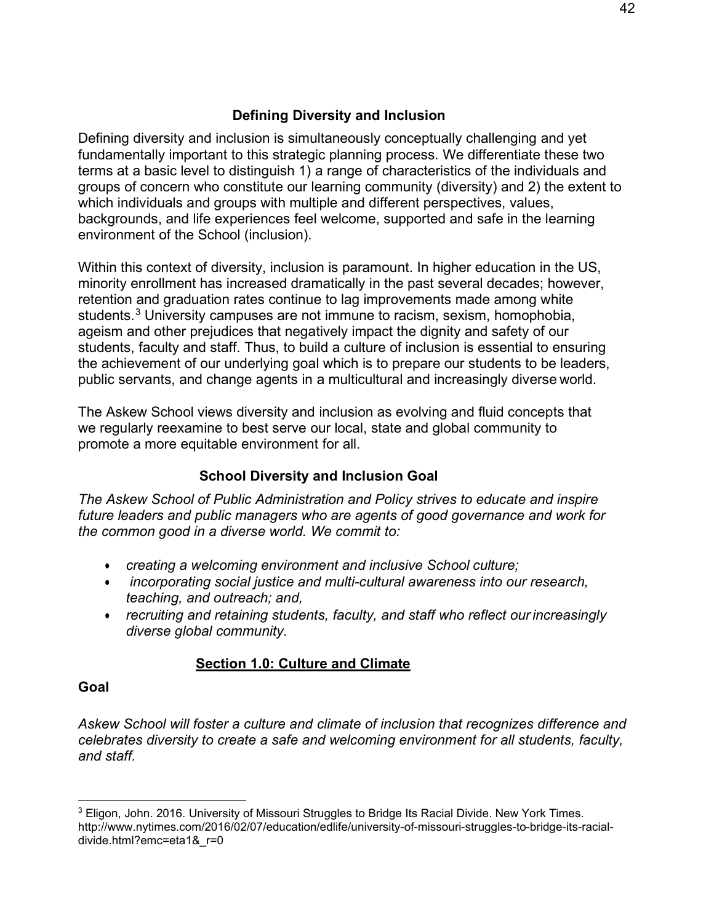# **Defining Diversity and Inclusion**

Defining diversity and inclusion is simultaneously conceptually challenging and yet fundamentally important to this strategic planning process. We differentiate these two terms at a basic level to distinguish 1) a range of characteristics of the individuals and groups of concern who constitute our learning community (diversity) and 2) the extent to which individuals and groups with multiple and different perspectives, values, backgrounds, and life experiences feel welcome, supported and safe in the learning environment of the School (inclusion).

Within this context of diversity, inclusion is paramount. In higher education in the US, minority enrollment has increased dramatically in the past several decades; however, retention and graduation rates continue to lag improvements made among white students.<sup>[3](#page-41-0)</sup> University campuses are not immune to racism, sexism, homophobia, ageism and other prejudices that negatively impact the dignity and safety of our students, faculty and staff. Thus, to build a culture of inclusion is essential to ensuring the achievement of our underlying goal which is to prepare our students to be leaders, public servants, and change agents in a multicultural and increasingly diverse world.

The Askew School views diversity and inclusion as evolving and fluid concepts that we regularly reexamine to best serve our local, state and global community to promote a more equitable environment for all.

# **School Diversity and Inclusion Goal**

*The Askew School of Public Administration and Policy strives to educate and inspire future leaders and public managers who are agents of good governance and work for the common good in a diverse world. We commit to:*

- *creating a welcoming environment and inclusive School culture;*
- *incorporating social justice and multi-cultural awareness into our research, teaching, and outreach; and,*
- *recruiting and retaining students, faculty, and staff who reflect our increasingly diverse global community.*

# **Section 1.0: Culture and Climate**

# **Goal**

*Askew School will foster a culture and climate of inclusion that recognizes difference and celebrates diversity to create a safe and welcoming environment for all students, faculty, and staff.*

<span id="page-41-0"></span> $3$  Eligon, John. 2016. University of Missouri Struggles to Bridge Its Racial Divide. New York Times. http://www.nytimes.com/2016/02/07/education/edlife/university-of-missouri-struggles-to-bridge-its-racialdivide.html?emc=eta1&\_r=0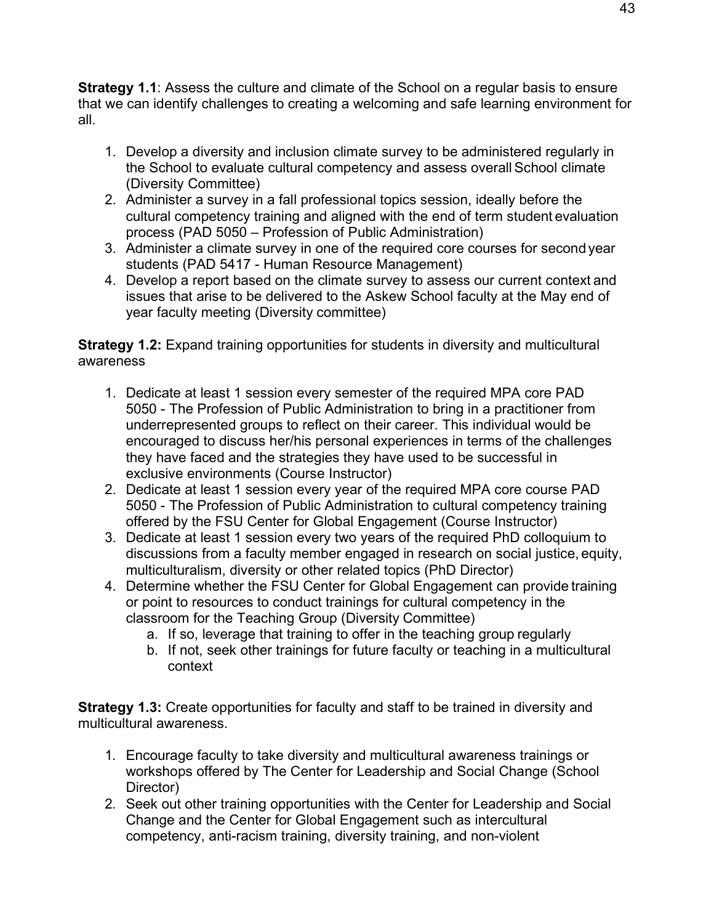**Strategy 1.1**: Assess the culture and climate of the School on a regular basis to ensure that we can identify challenges to creating a welcoming and safe learning environment for all.

- 1. Develop a diversity and inclusion climate survey to be administered regularly in the School to evaluate cultural competency and assess overall School climate (Diversity Committee)
- 2. Administer a survey in a fall professional topics session, ideally before the cultural competency training and aligned with the end of term student evaluation process (PAD 5050 – Profession of Public Administration)
- 3. Administer a climate survey in one of the required core courses for second year students (PAD 5417 - Human Resource Management)
- 4. Develop a report based on the climate survey to assess our current context and issues that arise to be delivered to the Askew School faculty at the May end of year faculty meeting (Diversity committee)

**Strategy 1.2:** Expand training opportunities for students in diversity and multicultural awareness

- 1. Dedicate at least 1 session every semester of the required MPA core PAD 5050 - The Profession of Public Administration to bring in a practitioner from underrepresented groups to reflect on their career. This individual would be encouraged to discuss her/his personal experiences in terms of the challenges they have faced and the strategies they have used to be successful in exclusive environments (Course Instructor)
- 2. Dedicate at least 1 session every year of the required MPA core course PAD 5050 - The Profession of Public Administration to cultural competency training offered by the FSU Center for Global Engagement (Course Instructor)
- 3. Dedicate at least 1 session every two years of the required PhD colloquium to discussions from a faculty member engaged in research on social justice, equity, multiculturalism, diversity or other related topics (PhD Director)
- 4. Determine whether the FSU Center for Global Engagement can provide training or point to resources to conduct trainings for cultural competency in the classroom for the Teaching Group (Diversity Committee)
	- a. If so, leverage that training to offer in the teaching group regularly
	- b. If not, seek other trainings for future faculty or teaching in a multicultural context

**Strategy 1.3:** Create opportunities for faculty and staff to be trained in diversity and multicultural awareness.

- 1. Encourage faculty to take diversity and multicultural awareness trainings or workshops offered by The Center for Leadership and Social Change (School Director)
- 2. Seek out other training opportunities with the Center for Leadership and Social Change and the Center for Global Engagement such as intercultural competency, anti-racism training, diversity training, and non-violent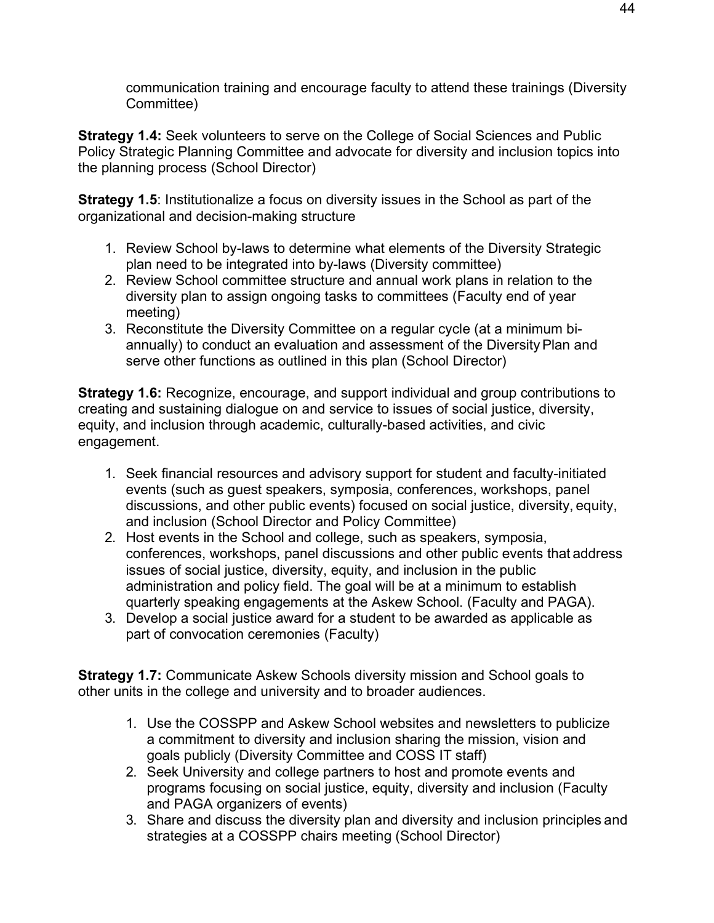communication training and encourage faculty to attend these trainings (Diversity Committee)

**Strategy 1.4:** Seek volunteers to serve on the College of Social Sciences and Public Policy Strategic Planning Committee and advocate for diversity and inclusion topics into the planning process (School Director)

**Strategy 1.5**: Institutionalize a focus on diversity issues in the School as part of the organizational and decision-making structure

- 1. Review School by-laws to determine what elements of the Diversity Strategic plan need to be integrated into by-laws (Diversity committee)
- 2. Review School committee structure and annual work plans in relation to the diversity plan to assign ongoing tasks to committees (Faculty end of year meeting)
- 3. Reconstitute the Diversity Committee on a regular cycle (at a minimum biannually) to conduct an evaluation and assessment of the DiversityPlan and serve other functions as outlined in this plan (School Director)

**Strategy 1.6:** Recognize, encourage, and support individual and group contributions to creating and sustaining dialogue on and service to issues of social justice, diversity, equity, and inclusion through academic, culturally-based activities, and civic engagement.

- 1. Seek financial resources and advisory support for student and faculty-initiated events (such as guest speakers, symposia, conferences, workshops, panel discussions, and other public events) focused on social justice, diversity, equity, and inclusion (School Director and Policy Committee)
- 2. Host events in the School and college, such as speakers, symposia, conferences, workshops, panel discussions and other public events that address issues of social justice, diversity, equity, and inclusion in the public administration and policy field. The goal will be at a minimum to establish quarterly speaking engagements at the Askew School. (Faculty and PAGA).
- 3. Develop a social justice award for a student to be awarded as applicable as part of convocation ceremonies (Faculty)

**Strategy 1.7:** Communicate Askew Schools diversity mission and School goals to other units in the college and university and to broader audiences.

- 1. Use the COSSPP and Askew School websites and newsletters to publicize a commitment to diversity and inclusion sharing the mission, vision and goals publicly (Diversity Committee and COSS IT staff)
- 2. Seek University and college partners to host and promote events and programs focusing on social justice, equity, diversity and inclusion (Faculty and PAGA organizers of events)
- 3. Share and discuss the diversity plan and diversity and inclusion principles and strategies at a COSSPP chairs meeting (School Director)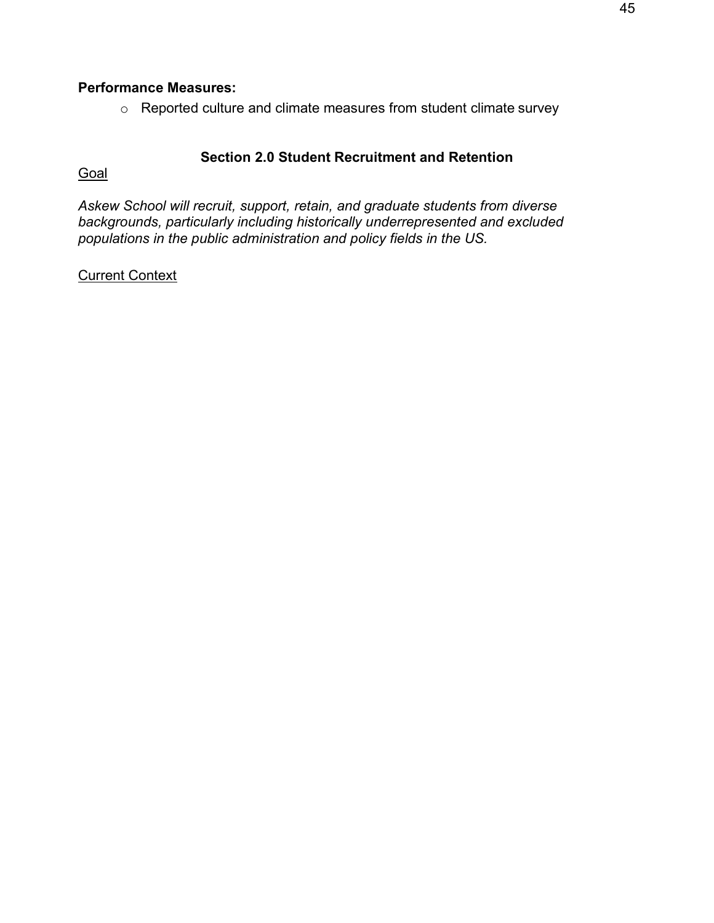## **Performance Measures:**

o Reported culture and climate measures from student climate survey

#### **Section 2.0 Student Recruitment and Retention**

**Goal** 

*Askew School will recruit, support, retain, and graduate students from diverse backgrounds, particularly including historically underrepresented and excluded populations in the public administration and policy fields in the US.*

#### Current Context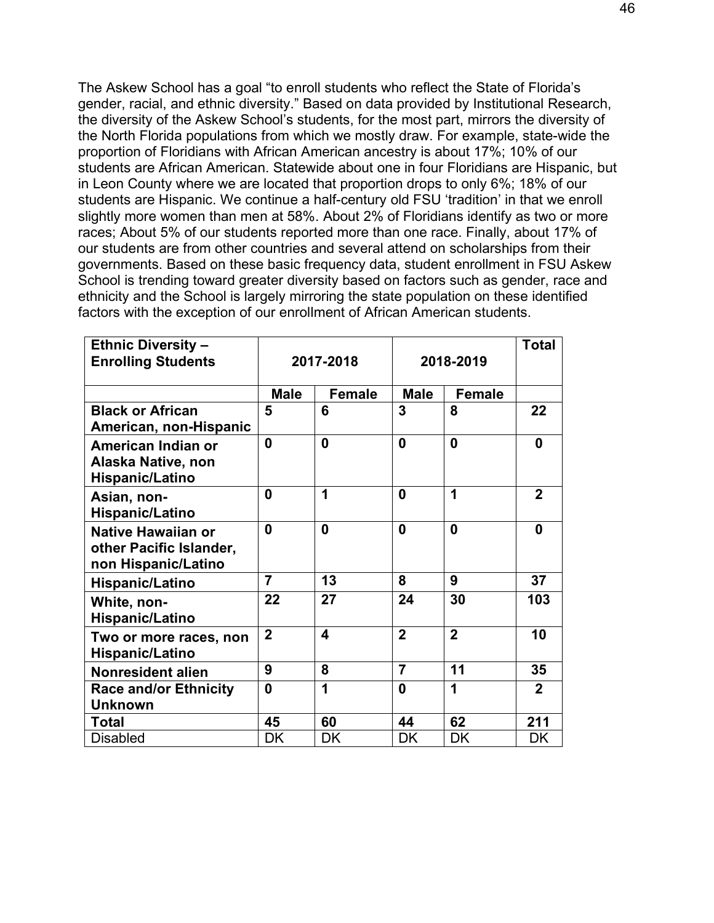The Askew School has a goal "to enroll students who reflect the State of Florida's gender, racial, and ethnic diversity." Based on data provided by Institutional Research, the diversity of the Askew School's students, for the most part, mirrors the diversity of the North Florida populations from which we mostly draw. For example, state-wide the proportion of Floridians with African American ancestry is about 17%; 10% of our students are African American. Statewide about one in four Floridians are Hispanic, but in Leon County where we are located that proportion drops to only 6%; 18% of our students are Hispanic. We continue a half-century old FSU 'tradition' in that we enroll slightly more women than men at 58%. About 2% of Floridians identify as two or more races; About 5% of our students reported more than one race. Finally, about 17% of our students are from other countries and several attend on scholarships from their governments. Based on these basic frequency data, student enrollment in FSU Askew School is trending toward greater diversity based on factors such as gender, race and ethnicity and the School is largely mirroring the state population on these identified factors with the exception of our enrollment of African American students.

| <b>Ethnic Diversity -</b>                                                   |                |               |                |                | <b>Total</b> |
|-----------------------------------------------------------------------------|----------------|---------------|----------------|----------------|--------------|
| <b>Enrolling Students</b>                                                   | 2017-2018      |               | 2018-2019      |                |              |
|                                                                             | Male           | <b>Female</b> | <b>Male</b>    | <b>Female</b>  |              |
| <b>Black or African</b><br>American, non-Hispanic                           | 5              | 6             | 3              | 8              | 22           |
| American Indian or<br>Alaska Native, non<br>Hispanic/Latino                 | $\mathbf 0$    | 0             | 0              | $\bf{0}$       | $\bf{0}$     |
| Asian, non-<br><b>Hispanic/Latino</b>                                       | 0              | 1             | 0              | 1              | $\mathbf{2}$ |
| <b>Native Hawaiian or</b><br>other Pacific Islander,<br>non Hispanic/Latino | $\bf{0}$       | 0             | 0              | $\bf{0}$       | $\bf{0}$     |
| Hispanic/Latino                                                             | $\overline{7}$ | 13            | 8              | 9              | 37           |
| White, non-<br><b>Hispanic/Latino</b>                                       | 22             | 27            | 24             | 30             | 103          |
| Two or more races, non<br><b>Hispanic/Latino</b>                            | $\mathbf{2}$   | 4             | $\overline{2}$ | $\overline{2}$ | 10           |
| <b>Nonresident alien</b>                                                    | 9              | 8             | $\overline{7}$ | 11             | 35           |
| <b>Race and/or Ethnicity</b><br><b>Unknown</b>                              | $\bf{0}$       | 1             | 0              | 1              | $\mathbf{2}$ |
| Total                                                                       | 45             | 60            | 44             | 62             | 211          |
| <b>Disabled</b>                                                             | DK             | DK            | DK             | <b>DK</b>      | DK           |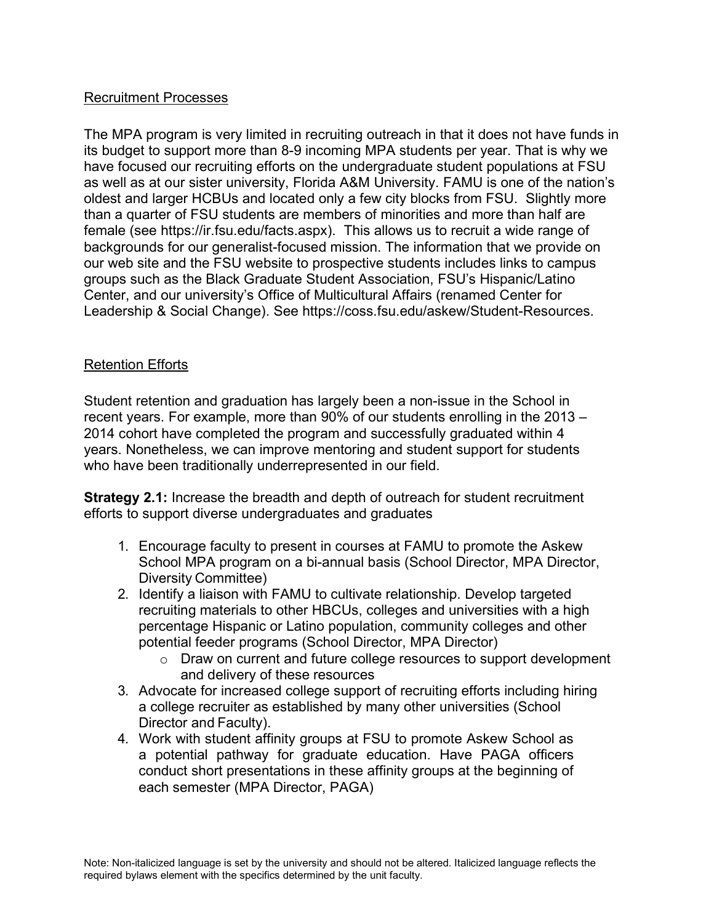### Recruitment Processes

The MPA program is very limited in recruiting outreach in that it does not have funds in its budget to support more than 8-9 incoming MPA students per year. That is why we have focused our recruiting efforts on the undergraduate student populations at FSU as well as at our sister university, Florida A&M University. FAMU is one of the nation's oldest and larger HCBUs and located only a few city blocks from FSU. Slightly more than a quarter of FSU students are members of minorities and more than half are female (see https://ir.fsu.edu/facts.aspx). This allows us to recruit a wide range of backgrounds for our generalist-focused mission. The information that we provide on our web site and the FSU website to prospective students includes links to campus groups such as the Black Graduate Student Association, FSU's Hispanic/Latino Center, and our university's Office of Multicultural Affairs (renamed Center for Leadership & Social Change). See https://coss.fsu.edu/askew/Student-Resources.

## Retention Efforts

Student retention and graduation has largely been a non-issue in the School in recent years. For example, more than 90% of our students enrolling in the 2013 – 2014 cohort have completed the program and successfully graduated within 4 years. Nonetheless, we can improve mentoring and student support for students who have been traditionally underrepresented in our field.

**Strategy 2.1:** Increase the breadth and depth of outreach for student recruitment efforts to support diverse undergraduates and graduates

- 1. Encourage faculty to present in courses at FAMU to promote the Askew School MPA program on a bi-annual basis (School Director, MPA Director, Diversity Committee)
- 2. Identify a liaison with FAMU to cultivate relationship. Develop targeted recruiting materials to other HBCUs, colleges and universities with a high percentage Hispanic or Latino population, community colleges and other potential feeder programs (School Director, MPA Director)
	- o Draw on current and future college resources to support development and delivery of these resources
- 3. Advocate for increased college support of recruiting efforts including hiring a college recruiter as established by many other universities (School Director and Faculty).
- 4. Work with student affinity groups at FSU to promote Askew School as a potential pathway for graduate education. Have PAGA officers conduct short presentations in these affinity groups at the beginning of each semester (MPA Director, PAGA)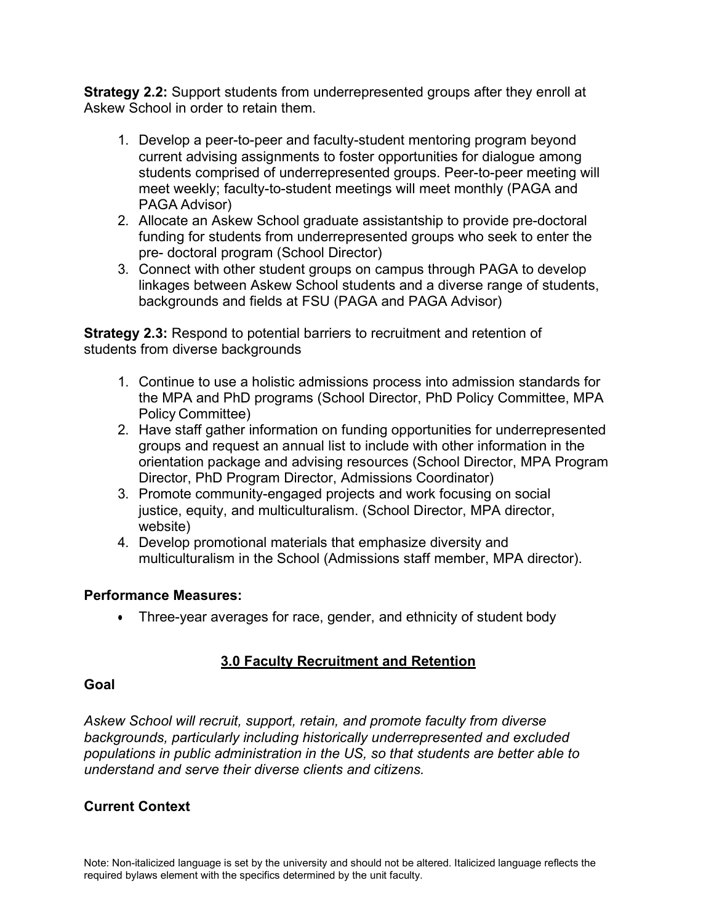**Strategy 2.2:** Support students from underrepresented groups after they enroll at Askew School in order to retain them.

- 1. Develop a peer-to-peer and faculty-student mentoring program beyond current advising assignments to foster opportunities for dialogue among students comprised of underrepresented groups. Peer-to-peer meeting will meet weekly; faculty-to-student meetings will meet monthly (PAGA and PAGA Advisor)
- 2. Allocate an Askew School graduate assistantship to provide pre-doctoral funding for students from underrepresented groups who seek to enter the pre- doctoral program (School Director)
- 3. Connect with other student groups on campus through PAGA to develop linkages between Askew School students and a diverse range of students, backgrounds and fields at FSU (PAGA and PAGA Advisor)

**Strategy 2.3:** Respond to potential barriers to recruitment and retention of students from diverse backgrounds

- 1. Continue to use a holistic admissions process into admission standards for the MPA and PhD programs (School Director, PhD Policy Committee, MPA Policy Committee)
- 2. Have staff gather information on funding opportunities for underrepresented groups and request an annual list to include with other information in the orientation package and advising resources (School Director, MPA Program Director, PhD Program Director, Admissions Coordinator)
- 3. Promote community-engaged projects and work focusing on social justice, equity, and multiculturalism. (School Director, MPA director, website)
- 4. Develop promotional materials that emphasize diversity and multiculturalism in the School (Admissions staff member, MPA director).

# **Performance Measures:**

• Three-year averages for race, gender, and ethnicity of student body

#### **3.0 Faculty Recruitment and Retention**

#### **Goal**

*Askew School will recruit, support, retain, and promote faculty from diverse backgrounds, particularly including historically underrepresented and excluded populations in public administration in the US, so that students are better able to understand and serve their diverse clients and citizens.*

# **Current Context**

Note: Non-italicized language is set by the university and should not be altered. Italicized language reflects the required bylaws element with the specifics determined by the unit faculty.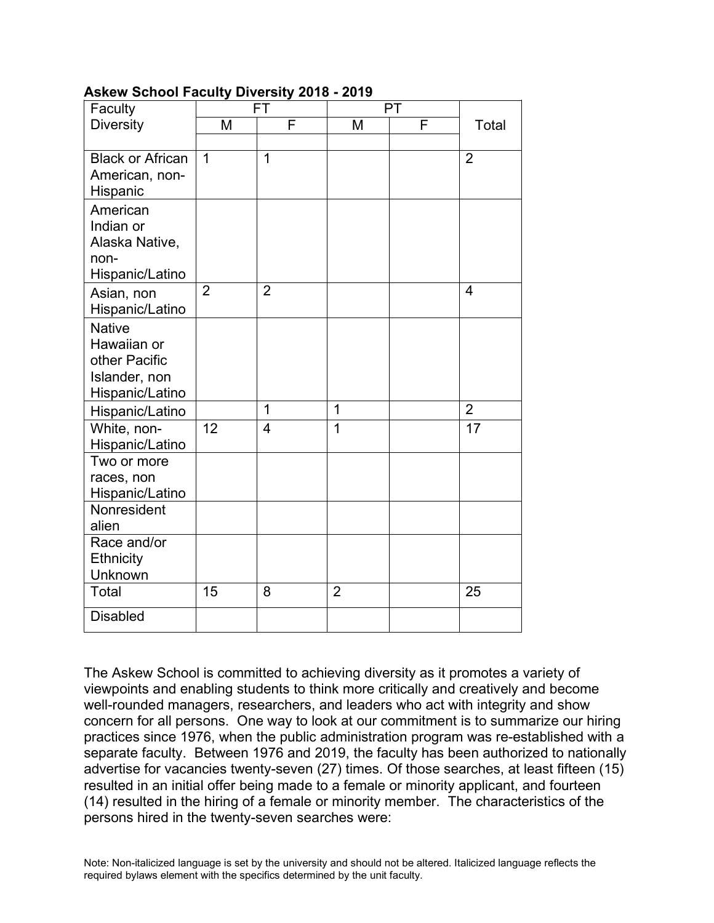| Faculty                      | FT             |                | PT             |   |                         |
|------------------------------|----------------|----------------|----------------|---|-------------------------|
| <b>Diversity</b>             | M              | F              | M              | F | Total                   |
|                              |                |                |                |   |                         |
| <b>Black or African</b>      | $\mathbf 1$    | $\overline{1}$ |                |   | $\overline{2}$          |
| American, non-               |                |                |                |   |                         |
| Hispanic                     |                |                |                |   |                         |
| American                     |                |                |                |   |                         |
| Indian or                    |                |                |                |   |                         |
| Alaska Native,               |                |                |                |   |                         |
| non-<br>Hispanic/Latino      |                |                |                |   |                         |
|                              | $\overline{2}$ | $\overline{2}$ |                |   | $\overline{\mathbf{4}}$ |
| Asian, non                   |                |                |                |   |                         |
| Hispanic/Latino              |                |                |                |   |                         |
| <b>Native</b><br>Hawaiian or |                |                |                |   |                         |
| other Pacific                |                |                |                |   |                         |
| Islander, non                |                |                |                |   |                         |
| Hispanic/Latino              |                |                |                |   |                         |
| Hispanic/Latino              |                | 1              | 1              |   | $\overline{2}$          |
| White, non-                  | 12             | 4              | $\overline{1}$ |   | 17                      |
| Hispanic/Latino              |                |                |                |   |                         |
| Two or more                  |                |                |                |   |                         |
| races, non                   |                |                |                |   |                         |
| Hispanic/Latino              |                |                |                |   |                         |
| Nonresident                  |                |                |                |   |                         |
| alien                        |                |                |                |   |                         |
| Race and/or                  |                |                |                |   |                         |
| Ethnicity<br>Unknown         |                |                |                |   |                         |
| Total                        | 15             | 8              | $\overline{2}$ |   | 25                      |
|                              |                |                |                |   |                         |
| <b>Disabled</b>              |                |                |                |   |                         |

## **Askew School Faculty Diversity 2018 - 2019**

The Askew School is committed to achieving diversity as it promotes a variety of viewpoints and enabling students to think more critically and creatively and become well-rounded managers, researchers, and leaders who act with integrity and show concern for all persons. One way to look at our commitment is to summarize our hiring practices since 1976, when the public administration program was re-established with a separate faculty. Between 1976 and 2019, the faculty has been authorized to nationally advertise for vacancies twenty-seven (27) times. Of those searches, at least fifteen (15) resulted in an initial offer being made to a female or minority applicant, and fourteen (14) resulted in the hiring of a female or minority member. The characteristics of the persons hired in the twenty-seven searches were: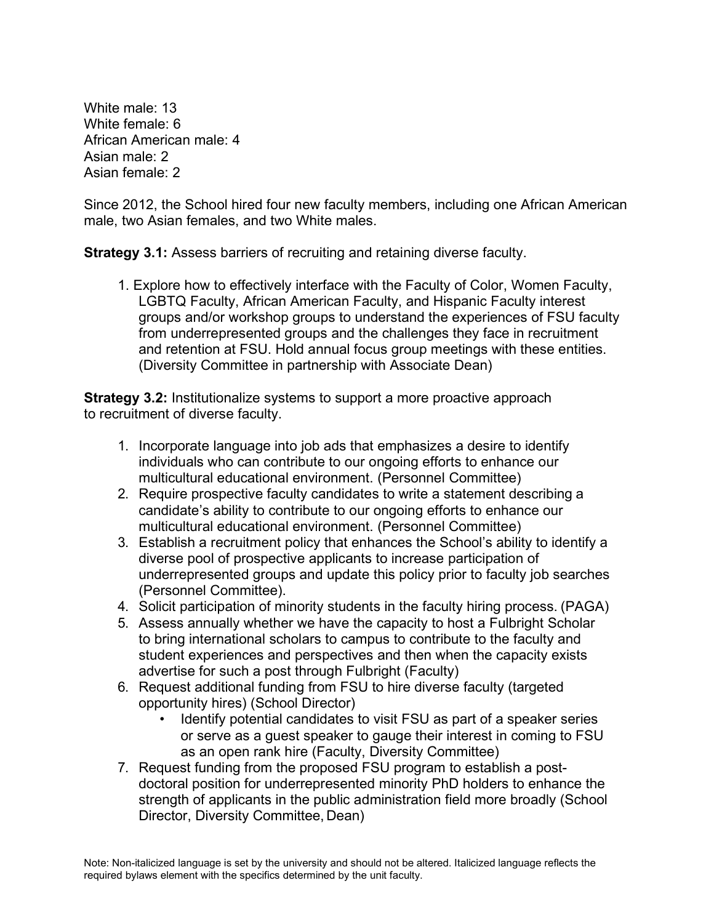White male: 13 White female: 6 African American male: 4 Asian male: 2 Asian female: 2

Since 2012, the School hired four new faculty members, including one African American male, two Asian females, and two White males.

**Strategy 3.1:** Assess barriers of recruiting and retaining diverse faculty.

1. Explore how to effectively interface with the Faculty of Color, Women Faculty, LGBTQ Faculty, African American Faculty, and Hispanic Faculty interest groups and/or workshop groups to understand the experiences of FSU faculty from underrepresented groups and the challenges they face in recruitment and retention at FSU. Hold annual focus group meetings with these entities. (Diversity Committee in partnership with Associate Dean)

**Strategy 3.2:** Institutionalize systems to support a more proactive approach to recruitment of diverse faculty.

- 1. Incorporate language into job ads that emphasizes a desire to identify individuals who can contribute to our ongoing efforts to enhance our multicultural educational environment. (Personnel Committee)
- 2. Require prospective faculty candidates to write a statement describing a candidate's ability to contribute to our ongoing efforts to enhance our multicultural educational environment. (Personnel Committee)
- 3. Establish a recruitment policy that enhances the School's ability to identify a diverse pool of prospective applicants to increase participation of underrepresented groups and update this policy prior to faculty job searches (Personnel Committee).
- 4. Solicit participation of minority students in the faculty hiring process. (PAGA)
- 5. Assess annually whether we have the capacity to host a Fulbright Scholar to bring international scholars to campus to contribute to the faculty and student experiences and perspectives and then when the capacity exists advertise for such a post through Fulbright (Faculty)
- 6. Request additional funding from FSU to hire diverse faculty (targeted opportunity hires) (School Director)
	- Identify potential candidates to visit FSU as part of a speaker series or serve as a guest speaker to gauge their interest in coming to FSU as an open rank hire (Faculty, Diversity Committee)
- 7. Request funding from the proposed FSU program to establish a postdoctoral position for underrepresented minority PhD holders to enhance the strength of applicants in the public administration field more broadly (School Director, Diversity Committee, Dean)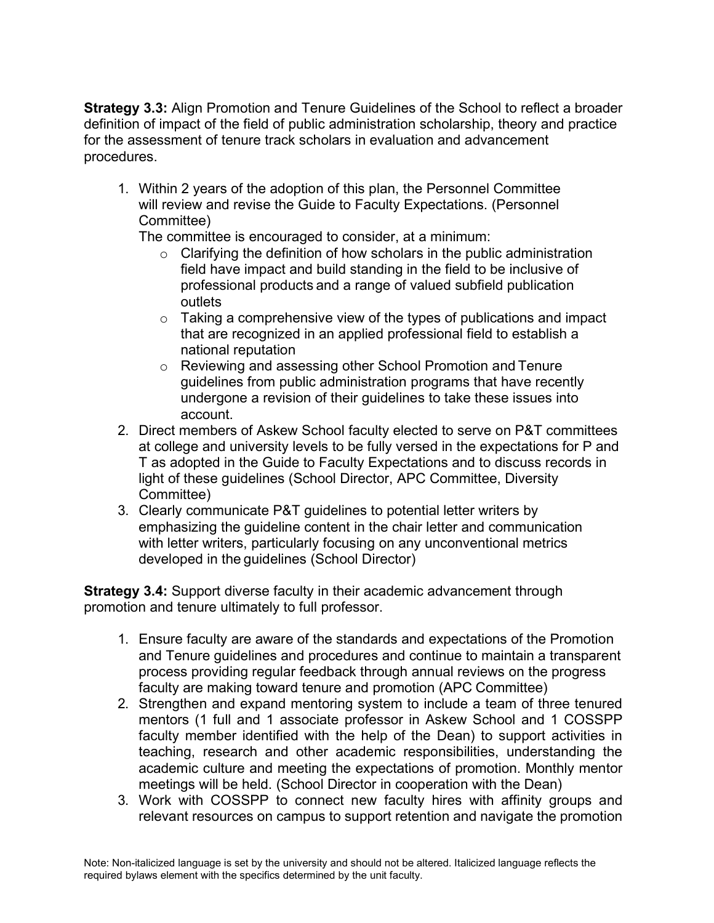**Strategy 3.3:** Align Promotion and Tenure Guidelines of the School to reflect a broader definition of impact of the field of public administration scholarship, theory and practice for the assessment of tenure track scholars in evaluation and advancement procedures.

1. Within 2 years of the adoption of this plan, the Personnel Committee will review and revise the Guide to Faculty Expectations. (Personnel Committee)

The committee is encouraged to consider, at a minimum:

- $\circ$  Clarifying the definition of how scholars in the public administration field have impact and build standing in the field to be inclusive of professional products and a range of valued subfield publication outlets
- $\circ$  Taking a comprehensive view of the types of publications and impact that are recognized in an applied professional field to establish a national reputation
- o Reviewing and assessing other School Promotion and Tenure guidelines from public administration programs that have recently undergone a revision of their guidelines to take these issues into account.
- 2. Direct members of Askew School faculty elected to serve on P&T committees at college and university levels to be fully versed in the expectations for P and T as adopted in the Guide to Faculty Expectations and to discuss records in light of these guidelines (School Director, APC Committee, Diversity Committee)
- 3. Clearly communicate P&T guidelines to potential letter writers by emphasizing the guideline content in the chair letter and communication with letter writers, particularly focusing on any unconventional metrics developed in the guidelines (School Director)

**Strategy 3.4:** Support diverse faculty in their academic advancement through promotion and tenure ultimately to full professor.

- 1. Ensure faculty are aware of the standards and expectations of the Promotion and Tenure guidelines and procedures and continue to maintain a transparent process providing regular feedback through annual reviews on the progress faculty are making toward tenure and promotion (APC Committee)
- 2. Strengthen and expand mentoring system to include a team of three tenured mentors (1 full and 1 associate professor in Askew School and 1 COSSPP faculty member identified with the help of the Dean) to support activities in teaching, research and other academic responsibilities, understanding the academic culture and meeting the expectations of promotion. Monthly mentor meetings will be held. (School Director in cooperation with the Dean)
- 3. Work with COSSPP to connect new faculty hires with affinity groups and relevant resources on campus to support retention and navigate the promotion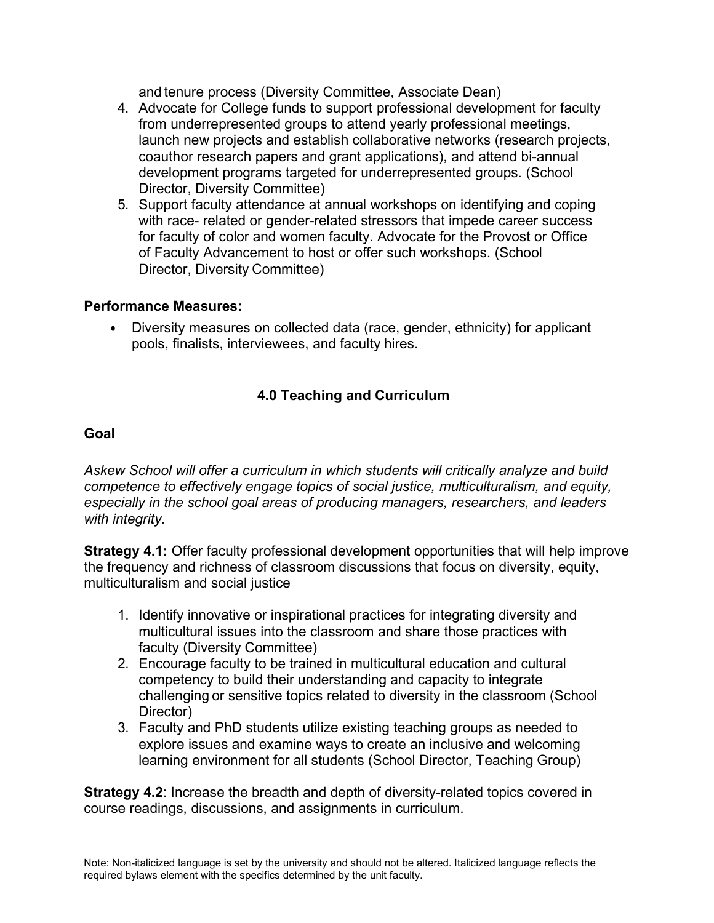and tenure process (Diversity Committee, Associate Dean)

- 4. Advocate for College funds to support professional development for faculty from underrepresented groups to attend yearly professional meetings, launch new projects and establish collaborative networks (research projects, coauthor research papers and grant applications), and attend bi-annual development programs targeted for underrepresented groups. (School Director, Diversity Committee)
- 5. Support faculty attendance at annual workshops on identifying and coping with race- related or gender-related stressors that impede career success for faculty of color and women faculty. Advocate for the Provost or Office of Faculty Advancement to host or offer such workshops. (School Director, Diversity Committee)

#### **Performance Measures:**

• Diversity measures on collected data (race, gender, ethnicity) for applicant pools, finalists, interviewees, and faculty hires.

## **4.0 Teaching and Curriculum**

#### **Goal**

*Askew School will offer a curriculum in which students will critically analyze and build competence to effectively engage topics of social justice, multiculturalism, and equity, especially in the school goal areas of producing managers, researchers, and leaders with integrity.*

**Strategy 4.1:** Offer faculty professional development opportunities that will help improve the frequency and richness of classroom discussions that focus on diversity, equity, multiculturalism and social justice

- 1. Identify innovative or inspirational practices for integrating diversity and multicultural issues into the classroom and share those practices with faculty (Diversity Committee)
- 2. Encourage faculty to be trained in multicultural education and cultural competency to build their understanding and capacity to integrate challenging or sensitive topics related to diversity in the classroom (School Director)
- 3. Faculty and PhD students utilize existing teaching groups as needed to explore issues and examine ways to create an inclusive and welcoming learning environment for all students (School Director, Teaching Group)

**Strategy 4.2**: Increase the breadth and depth of diversity-related topics covered in course readings, discussions, and assignments in curriculum.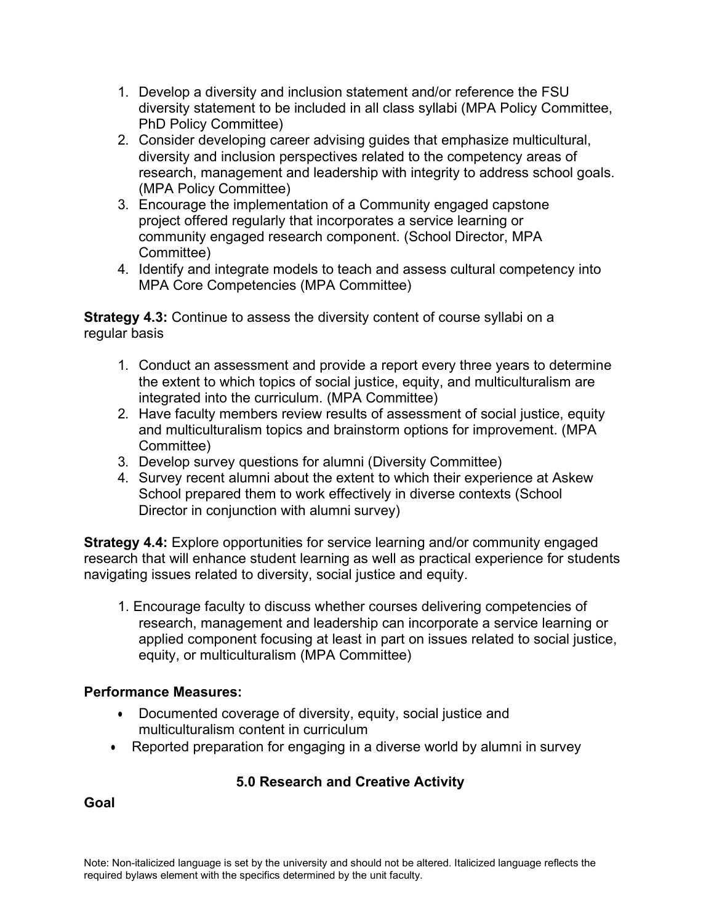- 1. Develop a diversity and inclusion statement and/or reference the FSU diversity statement to be included in all class syllabi (MPA Policy Committee, PhD Policy Committee)
- 2. Consider developing career advising guides that emphasize multicultural, diversity and inclusion perspectives related to the competency areas of research, management and leadership with integrity to address school goals. (MPA Policy Committee)
- 3. Encourage the implementation of a Community engaged capstone project offered regularly that incorporates a service learning or community engaged research component. (School Director, MPA Committee)
- 4. Identify and integrate models to teach and assess cultural competency into MPA Core Competencies (MPA Committee)

**Strategy 4.3:** Continue to assess the diversity content of course syllabi on a regular basis

- 1. Conduct an assessment and provide a report every three years to determine the extent to which topics of social justice, equity, and multiculturalism are integrated into the curriculum. (MPA Committee)
- 2. Have faculty members review results of assessment of social justice, equity and multiculturalism topics and brainstorm options for improvement. (MPA Committee)
- 3. Develop survey questions for alumni (Diversity Committee)
- 4. Survey recent alumni about the extent to which their experience at Askew School prepared them to work effectively in diverse contexts (School Director in conjunction with alumni survey)

**Strategy 4.4:** Explore opportunities for service learning and/or community engaged research that will enhance student learning as well as practical experience for students navigating issues related to diversity, social justice and equity.

1. Encourage faculty to discuss whether courses delivering competencies of research, management and leadership can incorporate a service learning or applied component focusing at least in part on issues related to social justice, equity, or multiculturalism (MPA Committee)

# **Performance Measures:**

- Documented coverage of diversity, equity, social justice and multiculturalism content in curriculum
- Reported preparation for engaging in a diverse world by alumni in survey

# **5.0 Research and Creative Activity**

**Goal**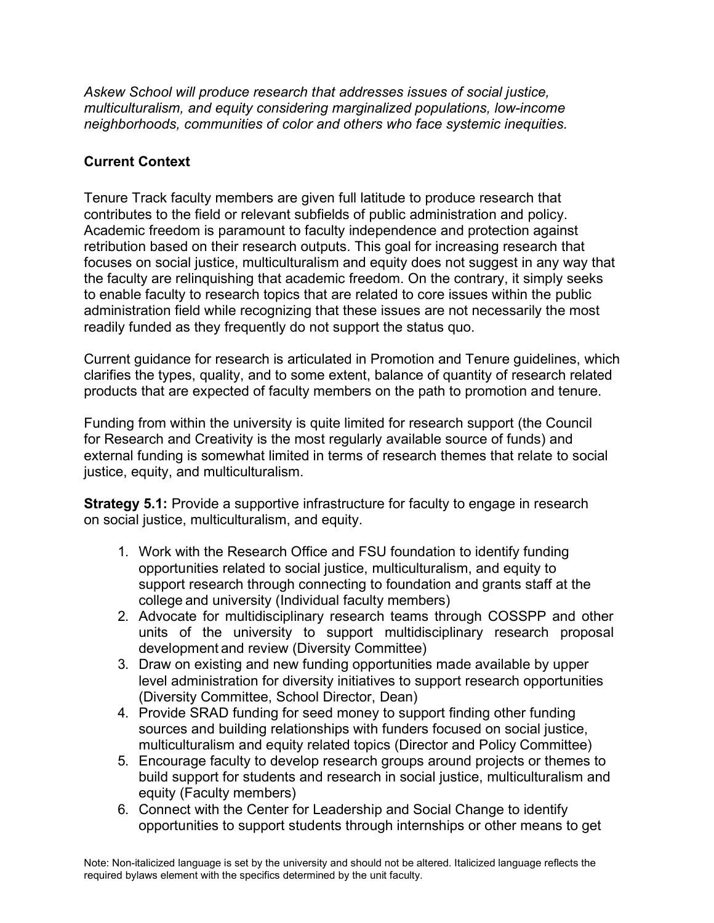*Askew School will produce research that addresses issues of social justice, multiculturalism, and equity considering marginalized populations, low-income neighborhoods, communities of color and others who face systemic inequities.*

# **Current Context**

Tenure Track faculty members are given full latitude to produce research that contributes to the field or relevant subfields of public administration and policy. Academic freedom is paramount to faculty independence and protection against retribution based on their research outputs. This goal for increasing research that focuses on social justice, multiculturalism and equity does not suggest in any way that the faculty are relinquishing that academic freedom. On the contrary, it simply seeks to enable faculty to research topics that are related to core issues within the public administration field while recognizing that these issues are not necessarily the most readily funded as they frequently do not support the status quo.

Current guidance for research is articulated in Promotion and Tenure guidelines, which clarifies the types, quality, and to some extent, balance of quantity of research related products that are expected of faculty members on the path to promotion and tenure.

Funding from within the university is quite limited for research support (the Council for Research and Creativity is the most regularly available source of funds) and external funding is somewhat limited in terms of research themes that relate to social justice, equity, and multiculturalism.

**Strategy 5.1:** Provide a supportive infrastructure for faculty to engage in research on social justice, multiculturalism, and equity.

- 1. Work with the Research Office and FSU foundation to identify funding opportunities related to social justice, multiculturalism, and equity to support research through connecting to foundation and grants staff at the college and university (Individual faculty members)
- 2. Advocate for multidisciplinary research teams through COSSPP and other units of the university to support multidisciplinary research proposal development and review (Diversity Committee)
- 3. Draw on existing and new funding opportunities made available by upper level administration for diversity initiatives to support research opportunities (Diversity Committee, School Director, Dean)
- 4. Provide SRAD funding for seed money to support finding other funding sources and building relationships with funders focused on social justice, multiculturalism and equity related topics (Director and Policy Committee)
- 5. Encourage faculty to develop research groups around projects or themes to build support for students and research in social justice, multiculturalism and equity (Faculty members)
- 6. Connect with the Center for Leadership and Social Change to identify opportunities to support students through internships or other means to get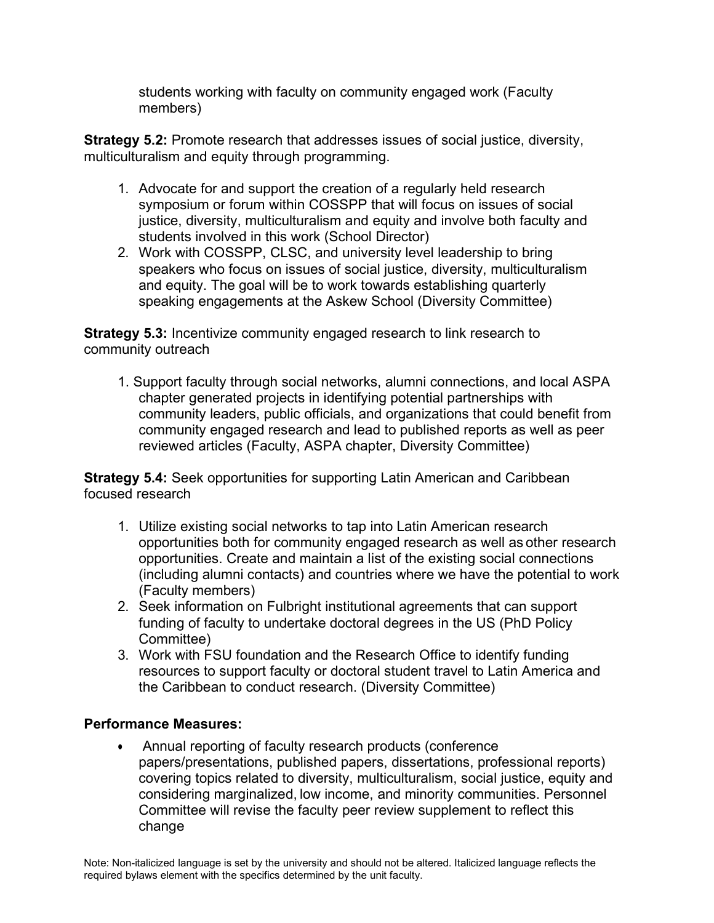students working with faculty on community engaged work (Faculty members)

**Strategy 5.2:** Promote research that addresses issues of social justice, diversity, multiculturalism and equity through programming.

- 1. Advocate for and support the creation of a regularly held research symposium or forum within COSSPP that will focus on issues of social justice, diversity, multiculturalism and equity and involve both faculty and students involved in this work (School Director)
- 2. Work with COSSPP, CLSC, and university level leadership to bring speakers who focus on issues of social justice, diversity, multiculturalism and equity. The goal will be to work towards establishing quarterly speaking engagements at the Askew School (Diversity Committee)

**Strategy 5.3:** Incentivize community engaged research to link research to community outreach

1. Support faculty through social networks, alumni connections, and local ASPA chapter generated projects in identifying potential partnerships with community leaders, public officials, and organizations that could benefit from community engaged research and lead to published reports as well as peer reviewed articles (Faculty, ASPA chapter, Diversity Committee)

**Strategy 5.4:** Seek opportunities for supporting Latin American and Caribbean focused research

- 1. Utilize existing social networks to tap into Latin American research opportunities both for community engaged research as well as other research opportunities. Create and maintain a list of the existing social connections (including alumni contacts) and countries where we have the potential to work (Faculty members)
- 2. Seek information on Fulbright institutional agreements that can support funding of faculty to undertake doctoral degrees in the US (PhD Policy Committee)
- 3. Work with FSU foundation and the Research Office to identify funding resources to support faculty or doctoral student travel to Latin America and the Caribbean to conduct research. (Diversity Committee)

# **Performance Measures:**

• Annual reporting of faculty research products (conference papers/presentations, published papers, dissertations, professional reports) covering topics related to diversity, multiculturalism, social justice, equity and considering marginalized, low income, and minority communities. Personnel Committee will revise the faculty peer review supplement to reflect this change